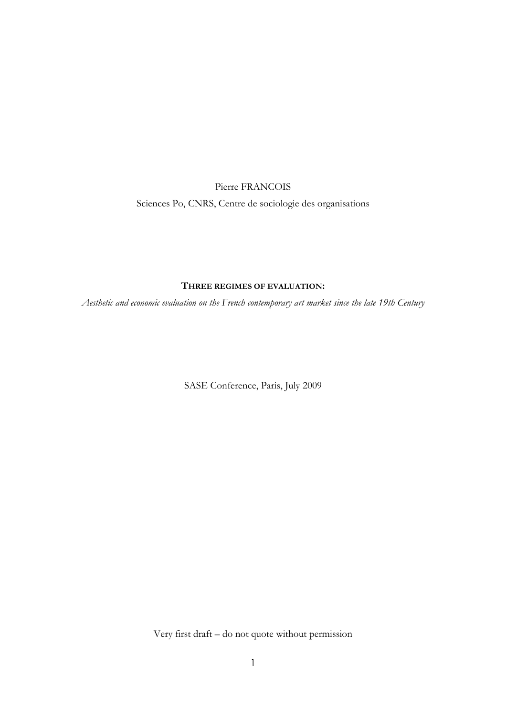Pierre FRANCOIS Sciences Po, CNRS, Centre de sociologie des organisations

# THREE REGIMES OF EVALUATION:

Aesthetic and economic evaluation on the French contemporary art market since the late 19th Century

SASE Conference, Paris, July 2009

Very first draft – do not quote without permission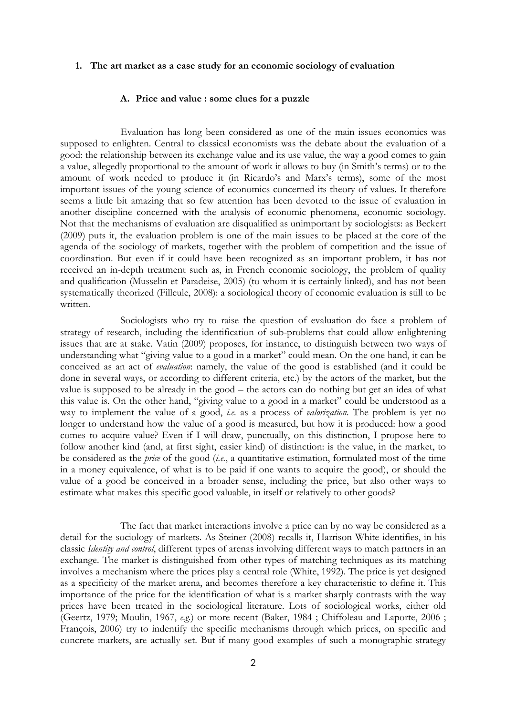### 1. The art market as a case study for an economic sociology of evaluation

## A. Price and value : some clues for a puzzle

Evaluation has long been considered as one of the main issues economics was supposed to enlighten. Central to classical economists was the debate about the evaluation of a good: the relationship between its exchange value and its use value, the way a good comes to gain a value, allegedly proportional to the amount of work it allows to buy (in Smith's terms) or to the amount of work needed to produce it (in Ricardo's and Marx's terms), some of the most important issues of the young science of economics concerned its theory of values. It therefore seems a little bit amazing that so few attention has been devoted to the issue of evaluation in another discipline concerned with the analysis of economic phenomena, economic sociology. Not that the mechanisms of evaluation are disqualified as unimportant by sociologists: as Beckert (2009) puts it, the evaluation problem is one of the main issues to be placed at the core of the agenda of the sociology of markets, together with the problem of competition and the issue of coordination. But even if it could have been recognized as an important problem, it has not received an in-depth treatment such as, in French economic sociology, the problem of quality and qualification (Musselin et Paradeise, 2005) (to whom it is certainly linked), and has not been systematically theorized (Filleule, 2008): a sociological theory of economic evaluation is still to be written.

Sociologists who try to raise the question of evaluation do face a problem of strategy of research, including the identification of sub-problems that could allow enlightening issues that are at stake. Vatin (2009) proposes, for instance, to distinguish between two ways of understanding what "giving value to a good in a market" could mean. On the one hand, it can be conceived as an act of evaluation: namely, the value of the good is established (and it could be done in several ways, or according to different criteria, etc.) by the actors of the market, but the value is supposed to be already in the good – the actors can do nothing but get an idea of what this value is. On the other hand, "giving value to a good in a market" could be understood as a way to implement the value of a good, *i.e.* as a process of *valorization*. The problem is yet no longer to understand how the value of a good is measured, but how it is produced: how a good comes to acquire value? Even if I will draw, punctually, on this distinction, I propose here to follow another kind (and, at first sight, easier kind) of distinction: is the value, in the market, to be considered as the *price* of the good  $(i.e., a$  quantitative estimation, formulated most of the time in a money equivalence, of what is to be paid if one wants to acquire the good), or should the value of a good be conceived in a broader sense, including the price, but also other ways to estimate what makes this specific good valuable, in itself or relatively to other goods?

The fact that market interactions involve a price can by no way be considered as a detail for the sociology of markets. As Steiner (2008) recalls it, Harrison White identifies, in his classic Identity and control, different types of arenas involving different ways to match partners in an exchange. The market is distinguished from other types of matching techniques as its matching involves a mechanism where the prices play a central role (White, 1992). The price is yet designed as a specificity of the market arena, and becomes therefore a key characteristic to define it. This importance of the price for the identification of what is a market sharply contrasts with the way prices have been treated in the sociological literature. Lots of sociological works, either old (Geertz, 1979; Moulin, 1967, e.g.) or more recent (Baker, 1984 ; Chiffoleau and Laporte, 2006 ; François, 2006) try to indentify the specific mechanisms through which prices, on specific and concrete markets, are actually set. But if many good examples of such a monographic strategy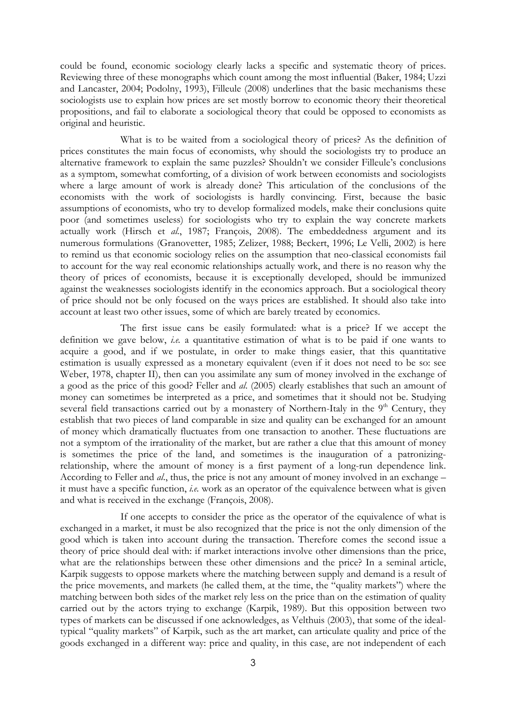could be found, economic sociology clearly lacks a specific and systematic theory of prices. Reviewing three of these monographs which count among the most influential (Baker, 1984; Uzzi and Lancaster, 2004; Podolny, 1993), Filleule (2008) underlines that the basic mechanisms these sociologists use to explain how prices are set mostly borrow to economic theory their theoretical propositions, and fail to elaborate a sociological theory that could be opposed to economists as original and heuristic.

What is to be waited from a sociological theory of prices? As the definition of prices constitutes the main focus of economists, why should the sociologists try to produce an alternative framework to explain the same puzzles? Shouldn't we consider Filleule's conclusions as a symptom, somewhat comforting, of a division of work between economists and sociologists where a large amount of work is already done? This articulation of the conclusions of the economists with the work of sociologists is hardly convincing. First, because the basic assumptions of economists, who try to develop formalized models, make their conclusions quite poor (and sometimes useless) for sociologists who try to explain the way concrete markets actually work (Hirsch et al., 1987; François, 2008). The embeddedness argument and its numerous formulations (Granovetter, 1985; Zelizer, 1988; Beckert, 1996; Le Velli, 2002) is here to remind us that economic sociology relies on the assumption that neo-classical economists fail to account for the way real economic relationships actually work, and there is no reason why the theory of prices of economists, because it is exceptionally developed, should be immunized against the weaknesses sociologists identify in the economics approach. But a sociological theory of price should not be only focused on the ways prices are established. It should also take into account at least two other issues, some of which are barely treated by economics.

The first issue cans be easily formulated: what is a price? If we accept the definition we gave below, *i.e.* a quantitative estimation of what is to be paid if one wants to acquire a good, and if we postulate, in order to make things easier, that this quantitative estimation is usually expressed as a monetary equivalent (even if it does not need to be so: see Weber, 1978, chapter II), then can you assimilate any sum of money involved in the exchange of a good as the price of this good? Feller and al. (2005) clearly establishes that such an amount of money can sometimes be interpreted as a price, and sometimes that it should not be. Studying several field transactions carried out by a monastery of Northern-Italy in the  $9<sup>th</sup>$  Century, they establish that two pieces of land comparable in size and quality can be exchanged for an amount of money which dramatically fluctuates from one transaction to another. These fluctuations are not a symptom of the irrationality of the market, but are rather a clue that this amount of money is sometimes the price of the land, and sometimes is the inauguration of a patronizingrelationship, where the amount of money is a first payment of a long-run dependence link. According to Feller and *al.*, thus, the price is not any amount of money involved in an exchange – it must have a specific function, i.e. work as an operator of the equivalence between what is given and what is received in the exchange (François, 2008).

If one accepts to consider the price as the operator of the equivalence of what is exchanged in a market, it must be also recognized that the price is not the only dimension of the good which is taken into account during the transaction. Therefore comes the second issue a theory of price should deal with: if market interactions involve other dimensions than the price, what are the relationships between these other dimensions and the price? In a seminal article, Karpik suggests to oppose markets where the matching between supply and demand is a result of the price movements, and markets (he called them, at the time, the "quality markets") where the matching between both sides of the market rely less on the price than on the estimation of quality carried out by the actors trying to exchange (Karpik, 1989). But this opposition between two types of markets can be discussed if one acknowledges, as Velthuis (2003), that some of the idealtypical "quality markets" of Karpik, such as the art market, can articulate quality and price of the goods exchanged in a different way: price and quality, in this case, are not independent of each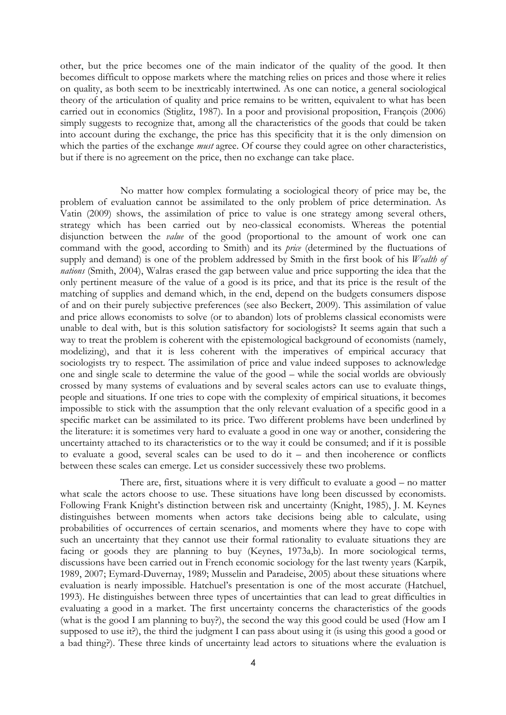other, but the price becomes one of the main indicator of the quality of the good. It then becomes difficult to oppose markets where the matching relies on prices and those where it relies on quality, as both seem to be inextricably intertwined. As one can notice, a general sociological theory of the articulation of quality and price remains to be written, equivalent to what has been carried out in economics (Stiglitz, 1987). In a poor and provisional proposition, François (2006) simply suggests to recognize that, among all the characteristics of the goods that could be taken into account during the exchange, the price has this specificity that it is the only dimension on which the parties of the exchange *must* agree. Of course they could agree on other characteristics, but if there is no agreement on the price, then no exchange can take place.

No matter how complex formulating a sociological theory of price may be, the problem of evaluation cannot be assimilated to the only problem of price determination. As Vatin (2009) shows, the assimilation of price to value is one strategy among several others, strategy which has been carried out by neo-classical economists. Whereas the potential disjunction between the value of the good (proportional to the amount of work one can command with the good, according to Smith) and its *price* (determined by the fluctuations of supply and demand) is one of the problem addressed by Smith in the first book of his Wealth of nations (Smith, 2004), Walras erased the gap between value and price supporting the idea that the only pertinent measure of the value of a good is its price, and that its price is the result of the matching of supplies and demand which, in the end, depend on the budgets consumers dispose of and on their purely subjective preferences (see also Beckert, 2009). This assimilation of value and price allows economists to solve (or to abandon) lots of problems classical economists were unable to deal with, but is this solution satisfactory for sociologists? It seems again that such a way to treat the problem is coherent with the epistemological background of economists (namely, modelizing), and that it is less coherent with the imperatives of empirical accuracy that sociologists try to respect. The assimilation of price and value indeed supposes to acknowledge one and single scale to determine the value of the good – while the social worlds are obviously crossed by many systems of evaluations and by several scales actors can use to evaluate things, people and situations. If one tries to cope with the complexity of empirical situations, it becomes impossible to stick with the assumption that the only relevant evaluation of a specific good in a specific market can be assimilated to its price. Two different problems have been underlined by the literature: it is sometimes very hard to evaluate a good in one way or another, considering the uncertainty attached to its characteristics or to the way it could be consumed; and if it is possible to evaluate a good, several scales can be used to do it – and then incoherence or conflicts between these scales can emerge. Let us consider successively these two problems.

There are, first, situations where it is very difficult to evaluate a good – no matter what scale the actors choose to use. These situations have long been discussed by economists. Following Frank Knight's distinction between risk and uncertainty (Knight, 1985), J. M. Keynes distinguishes between moments when actors take decisions being able to calculate, using probabilities of occurrences of certain scenarios, and moments where they have to cope with such an uncertainty that they cannot use their formal rationality to evaluate situations they are facing or goods they are planning to buy (Keynes, 1973a,b). In more sociological terms, discussions have been carried out in French economic sociology for the last twenty years (Karpik, 1989, 2007; Eymard-Duvernay, 1989; Musselin and Paradeise, 2005) about these situations where evaluation is nearly impossible. Hatchuel's presentation is one of the most accurate (Hatchuel, 1993). He distinguishes between three types of uncertainties that can lead to great difficulties in evaluating a good in a market. The first uncertainty concerns the characteristics of the goods (what is the good I am planning to buy?), the second the way this good could be used (How am I supposed to use it?), the third the judgment I can pass about using it (is using this good a good or a bad thing?). These three kinds of uncertainty lead actors to situations where the evaluation is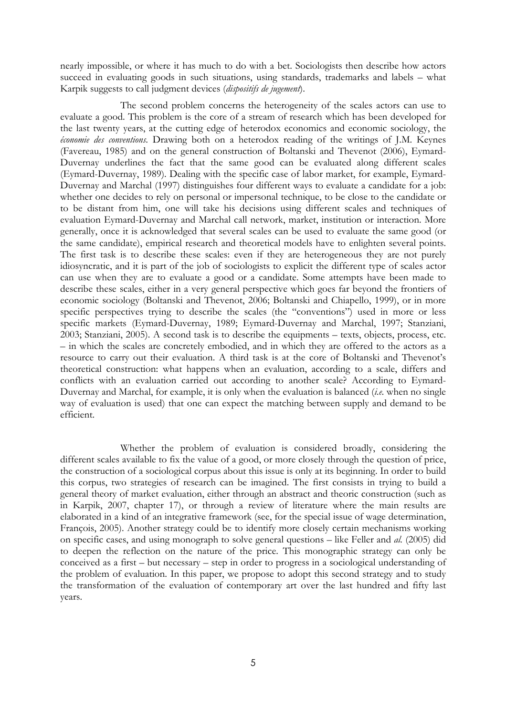nearly impossible, or where it has much to do with a bet. Sociologists then describe how actors succeed in evaluating goods in such situations, using standards, trademarks and labels – what Karpik suggests to call judgment devices (dispositifs de jugement).

The second problem concerns the heterogeneity of the scales actors can use to evaluate a good. This problem is the core of a stream of research which has been developed for the last twenty years, at the cutting edge of heterodox economics and economic sociology, the économie des conventions. Drawing both on a heterodox reading of the writings of J.M. Keynes (Favereau, 1985) and on the general construction of Boltanski and Thevenot (2006), Eymard-Duvernay underlines the fact that the same good can be evaluated along different scales (Eymard-Duvernay, 1989). Dealing with the specific case of labor market, for example, Eymard-Duvernay and Marchal (1997) distinguishes four different ways to evaluate a candidate for a job: whether one decides to rely on personal or impersonal technique, to be close to the candidate or to be distant from him, one will take his decisions using different scales and techniques of evaluation Eymard-Duvernay and Marchal call network, market, institution or interaction. More generally, once it is acknowledged that several scales can be used to evaluate the same good (or the same candidate), empirical research and theoretical models have to enlighten several points. The first task is to describe these scales: even if they are heterogeneous they are not purely idiosyncratic, and it is part of the job of sociologists to explicit the different type of scales actor can use when they are to evaluate a good or a candidate. Some attempts have been made to describe these scales, either in a very general perspective which goes far beyond the frontiers of economic sociology (Boltanski and Thevenot, 2006; Boltanski and Chiapello, 1999), or in more specific perspectives trying to describe the scales (the "conventions") used in more or less specific markets (Eymard-Duvernay, 1989; Eymard-Duvernay and Marchal, 1997; Stanziani, 2003; Stanziani, 2005). A second task is to describe the equipments – texts, objects, process, etc. – in which the scales are concretely embodied, and in which they are offered to the actors as a resource to carry out their evaluation. A third task is at the core of Boltanski and Thevenot's theoretical construction: what happens when an evaluation, according to a scale, differs and conflicts with an evaluation carried out according to another scale? According to Eymard-Duvernay and Marchal, for example, it is only when the evaluation is balanced *(i.e.* when no single way of evaluation is used) that one can expect the matching between supply and demand to be efficient.

Whether the problem of evaluation is considered broadly, considering the different scales available to fix the value of a good, or more closely through the question of price, the construction of a sociological corpus about this issue is only at its beginning. In order to build this corpus, two strategies of research can be imagined. The first consists in trying to build a general theory of market evaluation, either through an abstract and theoric construction (such as in Karpik, 2007, chapter 17), or through a review of literature where the main results are elaborated in a kind of an integrative framework (see, for the special issue of wage determination, François, 2005). Another strategy could be to identify more closely certain mechanisms working on specific cases, and using monograph to solve general questions – like Feller and al. (2005) did to deepen the reflection on the nature of the price. This monographic strategy can only be conceived as a first – but necessary – step in order to progress in a sociological understanding of the problem of evaluation. In this paper, we propose to adopt this second strategy and to study the transformation of the evaluation of contemporary art over the last hundred and fifty last years.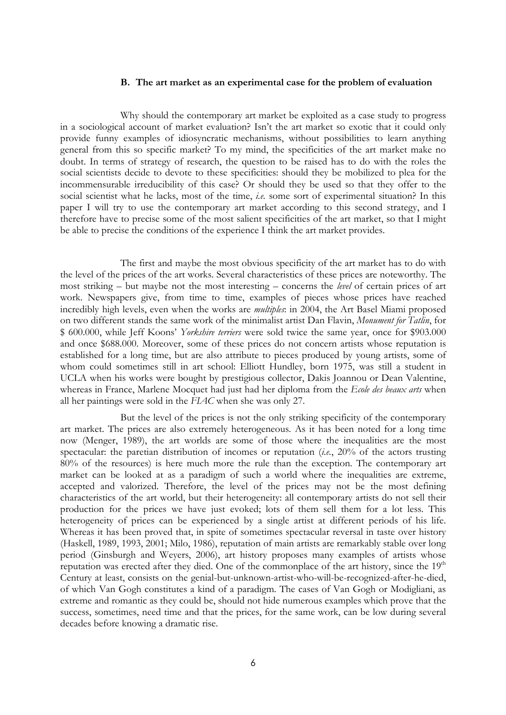## B. The art market as an experimental case for the problem of evaluation

Why should the contemporary art market be exploited as a case study to progress in a sociological account of market evaluation? Isn't the art market so exotic that it could only provide funny examples of idiosyncratic mechanisms, without possibilities to learn anything general from this so specific market? To my mind, the specificities of the art market make no doubt. In terms of strategy of research, the question to be raised has to do with the roles the social scientists decide to devote to these specificities: should they be mobilized to plea for the incommensurable irreducibility of this case? Or should they be used so that they offer to the social scientist what he lacks, most of the time, *i.e.* some sort of experimental situation? In this paper I will try to use the contemporary art market according to this second strategy, and I therefore have to precise some of the most salient specificities of the art market, so that I might be able to precise the conditions of the experience I think the art market provides.

The first and maybe the most obvious specificity of the art market has to do with the level of the prices of the art works. Several characteristics of these prices are noteworthy. The most striking – but maybe not the most interesting – concerns the level of certain prices of art work. Newspapers give, from time to time, examples of pieces whose prices have reached incredibly high levels, even when the works are *multiples*: in 2004, the Art Basel Miami proposed on two different stands the same work of the minimalist artist Dan Flavin, Monument for Tatlin, for \$ 600.000, while Jeff Koons' Yorkshire terriers were sold twice the same year, once for \$903.000 and once \$688.000. Moreover, some of these prices do not concern artists whose reputation is established for a long time, but are also attribute to pieces produced by young artists, some of whom could sometimes still in art school: Elliott Hundley, born 1975, was still a student in UCLA when his works were bought by prestigious collector, Dakis Joannou or Dean Valentine, whereas in France, Marlene Mocquet had just had her diploma from the Ecole des beaux arts when all her paintings were sold in the FIAC when she was only 27.

But the level of the prices is not the only striking specificity of the contemporary art market. The prices are also extremely heterogeneous. As it has been noted for a long time now (Menger, 1989), the art worlds are some of those where the inequalities are the most spectacular: the paretian distribution of incomes or reputation (*i.e.*, 20% of the actors trusting 80% of the resources) is here much more the rule than the exception. The contemporary art market can be looked at as a paradigm of such a world where the inequalities are extreme, accepted and valorized. Therefore, the level of the prices may not be the most defining characteristics of the art world, but their heterogeneity: all contemporary artists do not sell their production for the prices we have just evoked; lots of them sell them for a lot less. This heterogeneity of prices can be experienced by a single artist at different periods of his life. Whereas it has been proved that, in spite of sometimes spectacular reversal in taste over history (Haskell, 1989, 1993, 2001; Milo, 1986), reputation of main artists are remarkably stable over long period (Ginsburgh and Weyers, 2006), art history proposes many examples of artists whose reputation was erected after they died. One of the commonplace of the art history, since the 19<sup>th</sup> Century at least, consists on the genial-but-unknown-artist-who-will-be-recognized-after-he-died, of which Van Gogh constitutes a kind of a paradigm. The cases of Van Gogh or Modigliani, as extreme and romantic as they could be, should not hide numerous examples which prove that the success, sometimes, need time and that the prices, for the same work, can be low during several decades before knowing a dramatic rise.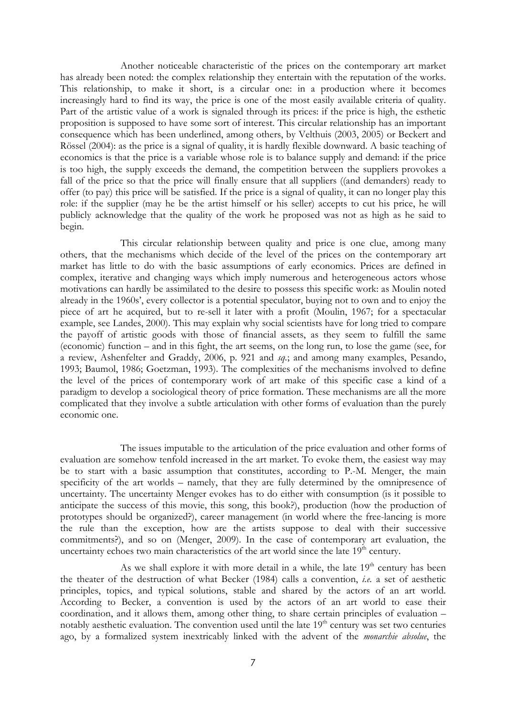Another noticeable characteristic of the prices on the contemporary art market has already been noted: the complex relationship they entertain with the reputation of the works. This relationship, to make it short, is a circular one: in a production where it becomes increasingly hard to find its way, the price is one of the most easily available criteria of quality. Part of the artistic value of a work is signaled through its prices: if the price is high, the esthetic proposition is supposed to have some sort of interest. This circular relationship has an important consequence which has been underlined, among others, by Velthuis (2003, 2005) or Beckert and Rössel (2004): as the price is a signal of quality, it is hardly flexible downward. A basic teaching of economics is that the price is a variable whose role is to balance supply and demand: if the price is too high, the supply exceeds the demand, the competition between the suppliers provokes a fall of the price so that the price will finally ensure that all suppliers ((and demanders) ready to offer (to pay) this price will be satisfied. If the price is a signal of quality, it can no longer play this role: if the supplier (may he be the artist himself or his seller) accepts to cut his price, he will publicly acknowledge that the quality of the work he proposed was not as high as he said to begin.

This circular relationship between quality and price is one clue, among many others, that the mechanisms which decide of the level of the prices on the contemporary art market has little to do with the basic assumptions of early economics. Prices are defined in complex, iterative and changing ways which imply numerous and heterogeneous actors whose motivations can hardly be assimilated to the desire to possess this specific work: as Moulin noted already in the 1960s', every collector is a potential speculator, buying not to own and to enjoy the piece of art he acquired, but to re-sell it later with a profit (Moulin, 1967; for a spectacular example, see Landes, 2000). This may explain why social scientists have for long tried to compare the payoff of artistic goods with those of financial assets, as they seem to fulfill the same (economic) function – and in this fight, the art seems, on the long run, to lose the game (see, for a review, Ashenfelter and Graddy, 2006, p. 921 and sq.; and among many examples, Pesando, 1993; Baumol, 1986; Goetzman, 1993). The complexities of the mechanisms involved to define the level of the prices of contemporary work of art make of this specific case a kind of a paradigm to develop a sociological theory of price formation. These mechanisms are all the more complicated that they involve a subtle articulation with other forms of evaluation than the purely economic one.

The issues imputable to the articulation of the price evaluation and other forms of evaluation are somehow tenfold increased in the art market. To evoke them, the easiest way may be to start with a basic assumption that constitutes, according to P.-M. Menger, the main specificity of the art worlds – namely, that they are fully determined by the omnipresence of uncertainty. The uncertainty Menger evokes has to do either with consumption (is it possible to anticipate the success of this movie, this song, this book?), production (how the production of prototypes should be organized?), career management (in world where the free-lancing is more the rule than the exception, how are the artists suppose to deal with their successive commitments?), and so on (Menger, 2009). In the case of contemporary art evaluation, the uncertainty echoes two main characteristics of the art world since the late  $19<sup>th</sup>$  century.

As we shall explore it with more detail in a while, the late  $19<sup>th</sup>$  century has been the theater of the destruction of what Becker (1984) calls a convention, i.e. a set of aesthetic principles, topics, and typical solutions, stable and shared by the actors of an art world. According to Becker, a convention is used by the actors of an art world to ease their coordination, and it allows them, among other thing, to share certain principles of evaluation – notably aesthetic evaluation. The convention used until the late  $19<sup>th</sup>$  century was set two centuries ago, by a formalized system inextricably linked with the advent of the *monarchie absolue*, the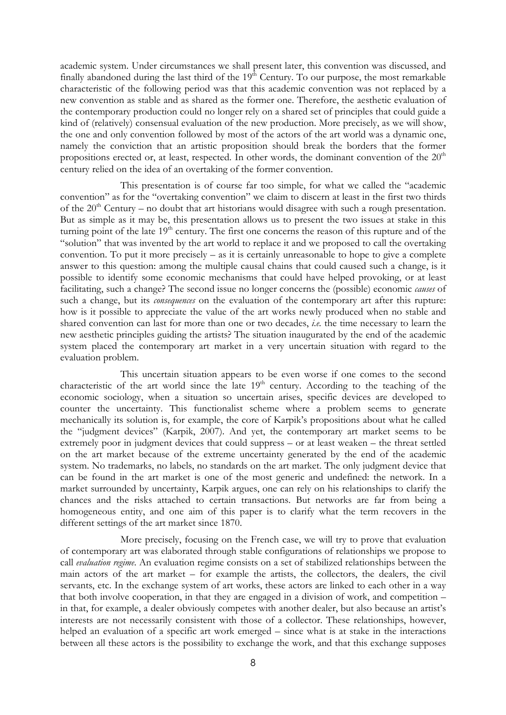academic system. Under circumstances we shall present later, this convention was discussed, and finally abandoned during the last third of the  $19<sup>th</sup>$  Century. To our purpose, the most remarkable characteristic of the following period was that this academic convention was not replaced by a new convention as stable and as shared as the former one. Therefore, the aesthetic evaluation of the contemporary production could no longer rely on a shared set of principles that could guide a kind of (relatively) consensual evaluation of the new production. More precisely, as we will show, the one and only convention followed by most of the actors of the art world was a dynamic one, namely the conviction that an artistic proposition should break the borders that the former propositions erected or, at least, respected. In other words, the dominant convention of the  $20<sup>th</sup>$ century relied on the idea of an overtaking of the former convention.

This presentation is of course far too simple, for what we called the "academic convention" as for the "overtaking convention" we claim to discern at least in the first two thirds of the  $20<sup>th</sup>$  Century – no doubt that art historians would disagree with such a rough presentation. But as simple as it may be, this presentation allows us to present the two issues at stake in this turning point of the late  $19<sup>th</sup>$  century. The first one concerns the reason of this rupture and of the "solution" that was invented by the art world to replace it and we proposed to call the overtaking convention. To put it more precisely – as it is certainly unreasonable to hope to give a complete answer to this question: among the multiple causal chains that could caused such a change, is it possible to identify some economic mechanisms that could have helped provoking, or at least facilitating, such a change? The second issue no longer concerns the (possible) economic causes of such a change, but its *consequences* on the evaluation of the contemporary art after this rupture: how is it possible to appreciate the value of the art works newly produced when no stable and shared convention can last for more than one or two decades, *i.e.* the time necessary to learn the new aesthetic principles guiding the artists? The situation inaugurated by the end of the academic system placed the contemporary art market in a very uncertain situation with regard to the evaluation problem.

This uncertain situation appears to be even worse if one comes to the second characteristic of the art world since the late  $19<sup>th</sup>$  century. According to the teaching of the economic sociology, when a situation so uncertain arises, specific devices are developed to counter the uncertainty. This functionalist scheme where a problem seems to generate mechanically its solution is, for example, the core of Karpik's propositions about what he called the "judgment devices" (Karpik, 2007). And yet, the contemporary art market seems to be extremely poor in judgment devices that could suppress – or at least weaken – the threat settled on the art market because of the extreme uncertainty generated by the end of the academic system. No trademarks, no labels, no standards on the art market. The only judgment device that can be found in the art market is one of the most generic and undefined: the network. In a market surrounded by uncertainty, Karpik argues, one can rely on his relationships to clarify the chances and the risks attached to certain transactions. But networks are far from being a homogeneous entity, and one aim of this paper is to clarify what the term recovers in the different settings of the art market since 1870.

More precisely, focusing on the French case, we will try to prove that evaluation of contemporary art was elaborated through stable configurations of relationships we propose to call evaluation regime. An evaluation regime consists on a set of stabilized relationships between the main actors of the art market – for example the artists, the collectors, the dealers, the civil servants, etc. In the exchange system of art works, these actors are linked to each other in a way that both involve cooperation, in that they are engaged in a division of work, and competition – in that, for example, a dealer obviously competes with another dealer, but also because an artist's interests are not necessarily consistent with those of a collector. These relationships, however, helped an evaluation of a specific art work emerged – since what is at stake in the interactions between all these actors is the possibility to exchange the work, and that this exchange supposes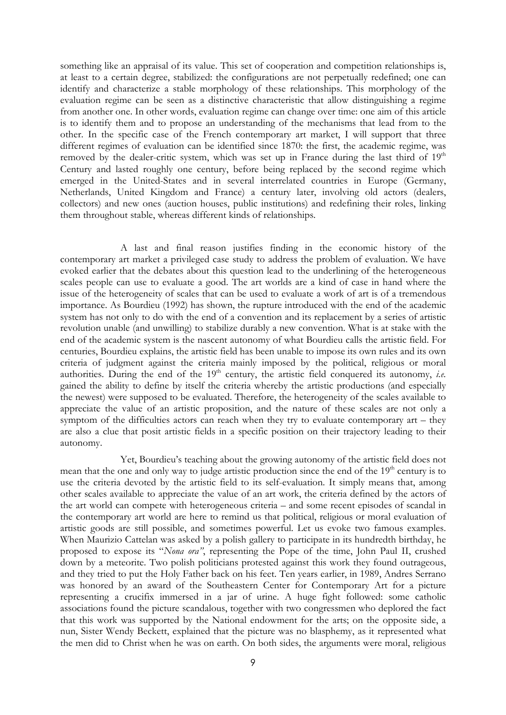something like an appraisal of its value. This set of cooperation and competition relationships is, at least to a certain degree, stabilized: the configurations are not perpetually redefined; one can identify and characterize a stable morphology of these relationships. This morphology of the evaluation regime can be seen as a distinctive characteristic that allow distinguishing a regime from another one. In other words, evaluation regime can change over time: one aim of this article is to identify them and to propose an understanding of the mechanisms that lead from to the other. In the specific case of the French contemporary art market, I will support that three different regimes of evaluation can be identified since 1870: the first, the academic regime, was removed by the dealer-critic system, which was set up in France during the last third of  $19<sup>th</sup>$ Century and lasted roughly one century, before being replaced by the second regime which emerged in the United-States and in several interrelated countries in Europe (Germany, Netherlands, United Kingdom and France) a century later, involving old actors (dealers, collectors) and new ones (auction houses, public institutions) and redefining their roles, linking them throughout stable, whereas different kinds of relationships.

A last and final reason justifies finding in the economic history of the contemporary art market a privileged case study to address the problem of evaluation. We have evoked earlier that the debates about this question lead to the underlining of the heterogeneous scales people can use to evaluate a good. The art worlds are a kind of case in hand where the issue of the heterogeneity of scales that can be used to evaluate a work of art is of a tremendous importance. As Bourdieu (1992) has shown, the rupture introduced with the end of the academic system has not only to do with the end of a convention and its replacement by a series of artistic revolution unable (and unwilling) to stabilize durably a new convention. What is at stake with the end of the academic system is the nascent autonomy of what Bourdieu calls the artistic field. For centuries, Bourdieu explains, the artistic field has been unable to impose its own rules and its own criteria of judgment against the criteria mainly imposed by the political, religious or moral authorities. During the end of the  $19<sup>th</sup>$  century, the artistic field conquered its autonomy, *i.e.* gained the ability to define by itself the criteria whereby the artistic productions (and especially the newest) were supposed to be evaluated. Therefore, the heterogeneity of the scales available to appreciate the value of an artistic proposition, and the nature of these scales are not only a symptom of the difficulties actors can reach when they try to evaluate contemporary art – they are also a clue that posit artistic fields in a specific position on their trajectory leading to their autonomy.

Yet, Bourdieu's teaching about the growing autonomy of the artistic field does not mean that the one and only way to judge artistic production since the end of the  $19<sup>th</sup>$  century is to use the criteria devoted by the artistic field to its self-evaluation. It simply means that, among other scales available to appreciate the value of an art work, the criteria defined by the actors of the art world can compete with heterogeneous criteria – and some recent episodes of scandal in the contemporary art world are here to remind us that political, religious or moral evaluation of artistic goods are still possible, and sometimes powerful. Let us evoke two famous examples. When Maurizio Cattelan was asked by a polish gallery to participate in its hundredth birthday, he proposed to expose its "Nona ora", representing the Pope of the time, John Paul II, crushed down by a meteorite. Two polish politicians protested against this work they found outrageous, and they tried to put the Holy Father back on his feet. Ten years earlier, in 1989, Andres Serrano was honored by an award of the Southeastern Center for Contemporary Art for a picture representing a crucifix immersed in a jar of urine. A huge fight followed: some catholic associations found the picture scandalous, together with two congressmen who deplored the fact that this work was supported by the National endowment for the arts; on the opposite side, a nun, Sister Wendy Beckett, explained that the picture was no blasphemy, as it represented what the men did to Christ when he was on earth. On both sides, the arguments were moral, religious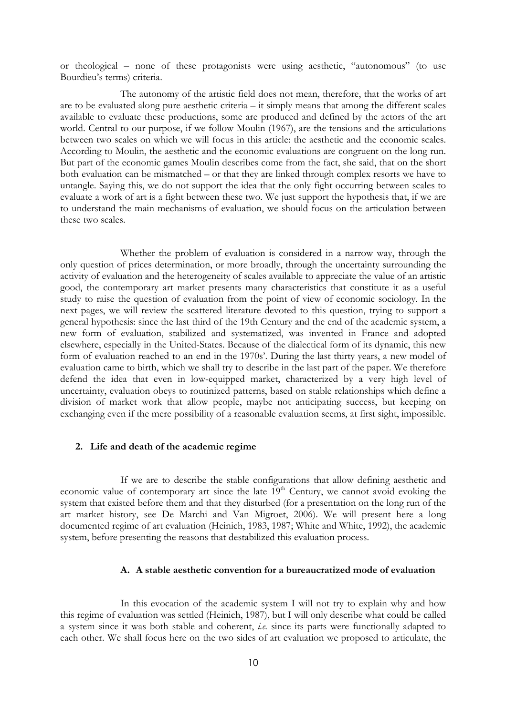or theological – none of these protagonists were using aesthetic, "autonomous" (to use Bourdieu's terms) criteria.

The autonomy of the artistic field does not mean, therefore, that the works of art are to be evaluated along pure aesthetic criteria – it simply means that among the different scales available to evaluate these productions, some are produced and defined by the actors of the art world. Central to our purpose, if we follow Moulin (1967), are the tensions and the articulations between two scales on which we will focus in this article: the aesthetic and the economic scales. According to Moulin, the aesthetic and the economic evaluations are congruent on the long run. But part of the economic games Moulin describes come from the fact, she said, that on the short both evaluation can be mismatched – or that they are linked through complex resorts we have to untangle. Saying this, we do not support the idea that the only fight occurring between scales to evaluate a work of art is a fight between these two. We just support the hypothesis that, if we are to understand the main mechanisms of evaluation, we should focus on the articulation between these two scales.

Whether the problem of evaluation is considered in a narrow way, through the only question of prices determination, or more broadly, through the uncertainty surrounding the activity of evaluation and the heterogeneity of scales available to appreciate the value of an artistic good, the contemporary art market presents many characteristics that constitute it as a useful study to raise the question of evaluation from the point of view of economic sociology. In the next pages, we will review the scattered literature devoted to this question, trying to support a general hypothesis: since the last third of the 19th Century and the end of the academic system, a new form of evaluation, stabilized and systematized, was invented in France and adopted elsewhere, especially in the United-States. Because of the dialectical form of its dynamic, this new form of evaluation reached to an end in the 1970s'. During the last thirty years, a new model of evaluation came to birth, which we shall try to describe in the last part of the paper. We therefore defend the idea that even in low-equipped market, characterized by a very high level of uncertainty, evaluation obeys to routinized patterns, based on stable relationships which define a division of market work that allow people, maybe not anticipating success, but keeping on exchanging even if the mere possibility of a reasonable evaluation seems, at first sight, impossible.

### 2. Life and death of the academic regime

If we are to describe the stable configurations that allow defining aesthetic and economic value of contemporary art since the late 19<sup>th</sup> Century, we cannot avoid evoking the system that existed before them and that they disturbed (for a presentation on the long run of the art market history, see De Marchi and Van Migroet, 2006). We will present here a long documented regime of art evaluation (Heinich, 1983, 1987; White and White, 1992), the academic system, before presenting the reasons that destabilized this evaluation process.

## A. A stable aesthetic convention for a bureaucratized mode of evaluation

In this evocation of the academic system I will not try to explain why and how this regime of evaluation was settled (Heinich, 1987), but I will only describe what could be called a system since it was both stable and coherent, *i.e.* since its parts were functionally adapted to each other. We shall focus here on the two sides of art evaluation we proposed to articulate, the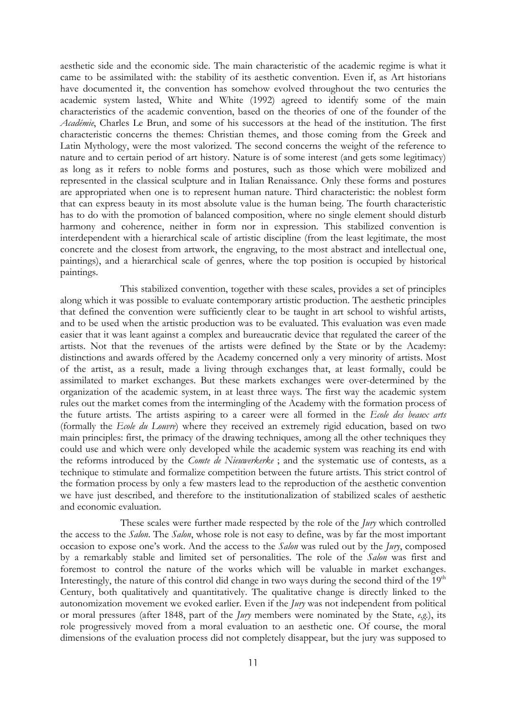aesthetic side and the economic side. The main characteristic of the academic regime is what it came to be assimilated with: the stability of its aesthetic convention. Even if, as Art historians have documented it, the convention has somehow evolved throughout the two centuries the academic system lasted, White and White (1992) agreed to identify some of the main characteristics of the academic convention, based on the theories of one of the founder of the Académie, Charles Le Brun, and some of his successors at the head of the institution. The first characteristic concerns the themes: Christian themes, and those coming from the Greek and Latin Mythology, were the most valorized. The second concerns the weight of the reference to nature and to certain period of art history. Nature is of some interest (and gets some legitimacy) as long as it refers to noble forms and postures, such as those which were mobilized and represented in the classical sculpture and in Italian Renaissance. Only these forms and postures are appropriated when one is to represent human nature. Third characteristic: the noblest form that can express beauty in its most absolute value is the human being. The fourth characteristic has to do with the promotion of balanced composition, where no single element should disturb harmony and coherence, neither in form nor in expression. This stabilized convention is interdependent with a hierarchical scale of artistic discipline (from the least legitimate, the most concrete and the closest from artwork, the engraving, to the most abstract and intellectual one, paintings), and a hierarchical scale of genres, where the top position is occupied by historical paintings.

This stabilized convention, together with these scales, provides a set of principles along which it was possible to evaluate contemporary artistic production. The aesthetic principles that defined the convention were sufficiently clear to be taught in art school to wishful artists, and to be used when the artistic production was to be evaluated. This evaluation was even made easier that it was leant against a complex and bureaucratic device that regulated the career of the artists. Not that the revenues of the artists were defined by the State or by the Academy: distinctions and awards offered by the Academy concerned only a very minority of artists. Most of the artist, as a result, made a living through exchanges that, at least formally, could be assimilated to market exchanges. But these markets exchanges were over-determined by the organization of the academic system, in at least three ways. The first way the academic system rules out the market comes from the intermingling of the Academy with the formation process of the future artists. The artists aspiring to a career were all formed in the Ecole des beaux arts (formally the Ecole du Louvre) where they received an extremely rigid education, based on two main principles: first, the primacy of the drawing techniques, among all the other techniques they could use and which were only developed while the academic system was reaching its end with the reforms introduced by the *Comte de Nieuwerkerke*; and the systematic use of contests, as a technique to stimulate and formalize competition between the future artists. This strict control of the formation process by only a few masters lead to the reproduction of the aesthetic convention we have just described, and therefore to the institutionalization of stabilized scales of aesthetic and economic evaluation.

These scales were further made respected by the role of the  $\text{I}$ ury which controlled the access to the Salon. The Salon, whose role is not easy to define, was by far the most important occasion to expose one's work. And the access to the Salon was ruled out by the Jury, composed by a remarkably stable and limited set of personalities. The role of the Salon was first and foremost to control the nature of the works which will be valuable in market exchanges. Interestingly, the nature of this control did change in two ways during the second third of the  $19<sup>th</sup>$ Century, both qualitatively and quantitatively. The qualitative change is directly linked to the autonomization movement we evoked earlier. Even if the  $\mu$ ry was not independent from political or moral pressures (after 1848, part of the *Jury* members were nominated by the State,  $e.g.$ ), its role progressively moved from a moral evaluation to an aesthetic one. Of course, the moral dimensions of the evaluation process did not completely disappear, but the jury was supposed to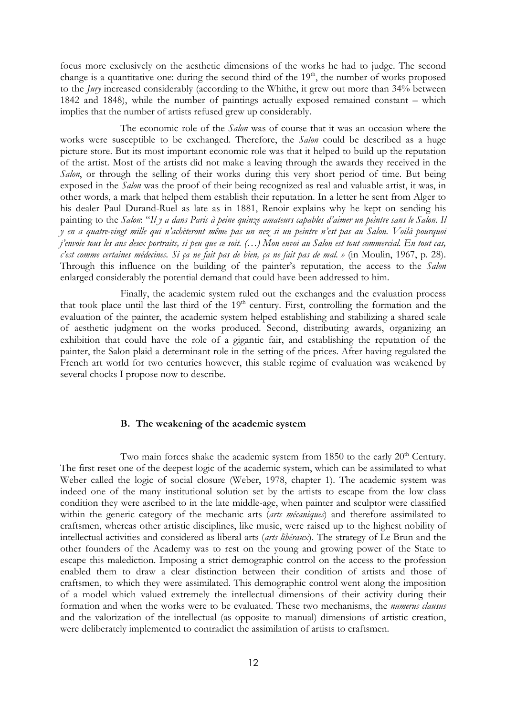focus more exclusively on the aesthetic dimensions of the works he had to judge. The second change is a quantitative one: during the second third of the  $19<sup>th</sup>$ , the number of works proposed to the Jury increased considerably (according to the Whithe, it grew out more than 34% between 1842 and 1848), while the number of paintings actually exposed remained constant – which implies that the number of artists refused grew up considerably.

The economic role of the Salon was of course that it was an occasion where the works were susceptible to be exchanged. Therefore, the *Salon* could be described as a huge picture store. But its most important economic role was that it helped to build up the reputation of the artist. Most of the artists did not make a leaving through the awards they received in the Salon, or through the selling of their works during this very short period of time. But being exposed in the Salon was the proof of their being recognized as real and valuable artist, it was, in other words, a mark that helped them establish their reputation. In a letter he sent from Alger to his dealer Paul Durand-Ruel as late as in 1881, Renoir explains why he kept on sending his painting to the Salon: "Il y a dans Paris à peine quinze amateurs capables d'aimer un peintre sans le Salon. Il y en a quatre-vingt mille qui n'achèteront même pas un nez si un peintre n'est pas au Salon. Voilà pourquoi j'envoie tous les ans deux portraits, si peu que ce soit. (…) Mon envoi au Salon est tout commercial. En tout cas, c'est comme certaines médecines. Si ça ne fait pas de bien, ça ne fait pas de mal. » (in Moulin, 1967, p. 28). Through this influence on the building of the painter's reputation, the access to the Salon enlarged considerably the potential demand that could have been addressed to him.

Finally, the academic system ruled out the exchanges and the evaluation process that took place until the last third of the  $19<sup>th</sup>$  century. First, controlling the formation and the evaluation of the painter, the academic system helped establishing and stabilizing a shared scale of aesthetic judgment on the works produced. Second, distributing awards, organizing an exhibition that could have the role of a gigantic fair, and establishing the reputation of the painter, the Salon plaid a determinant role in the setting of the prices. After having regulated the French art world for two centuries however, this stable regime of evaluation was weakened by several chocks I propose now to describe.

## B. The weakening of the academic system

Two main forces shake the academic system from 1850 to the early  $20<sup>th</sup>$  Century. The first reset one of the deepest logic of the academic system, which can be assimilated to what Weber called the logic of social closure (Weber, 1978, chapter 1). The academic system was indeed one of the many institutional solution set by the artists to escape from the low class condition they were ascribed to in the late middle-age, when painter and sculptor were classified within the generic category of the mechanic arts (arts mécaniques) and therefore assimilated to craftsmen, whereas other artistic disciplines, like music, were raised up to the highest nobility of intellectual activities and considered as liberal arts (arts libéraux). The strategy of Le Brun and the other founders of the Academy was to rest on the young and growing power of the State to escape this malediction. Imposing a strict demographic control on the access to the profession enabled them to draw a clear distinction between their condition of artists and those of craftsmen, to which they were assimilated. This demographic control went along the imposition of a model which valued extremely the intellectual dimensions of their activity during their formation and when the works were to be evaluated. These two mechanisms, the numerus clausus and the valorization of the intellectual (as opposite to manual) dimensions of artistic creation, were deliberately implemented to contradict the assimilation of artists to craftsmen.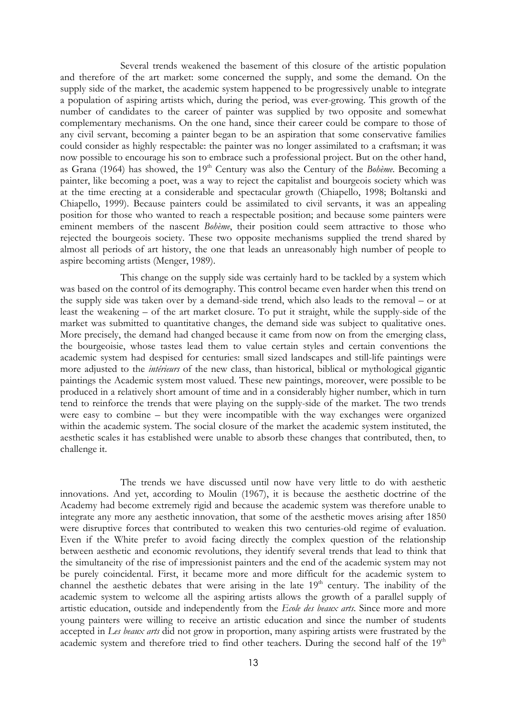Several trends weakened the basement of this closure of the artistic population and therefore of the art market: some concerned the supply, and some the demand. On the supply side of the market, the academic system happened to be progressively unable to integrate a population of aspiring artists which, during the period, was ever-growing. This growth of the number of candidates to the career of painter was supplied by two opposite and somewhat complementary mechanisms. On the one hand, since their career could be compare to those of any civil servant, becoming a painter began to be an aspiration that some conservative families could consider as highly respectable: the painter was no longer assimilated to a craftsman; it was now possible to encourage his son to embrace such a professional project. But on the other hand, as Grana (1964) has showed, the 19<sup>th</sup> Century was also the Century of the *Bohème*. Becoming a painter, like becoming a poet, was a way to reject the capitalist and bourgeois society which was at the time erecting at a considerable and spectacular growth (Chiapello, 1998; Boltanski and Chiapello, 1999). Because painters could be assimilated to civil servants, it was an appealing position for those who wanted to reach a respectable position; and because some painters were eminent members of the nascent Bohème, their position could seem attractive to those who rejected the bourgeois society. These two opposite mechanisms supplied the trend shared by almost all periods of art history, the one that leads an unreasonably high number of people to aspire becoming artists (Menger, 1989).

This change on the supply side was certainly hard to be tackled by a system which was based on the control of its demography. This control became even harder when this trend on the supply side was taken over by a demand-side trend, which also leads to the removal – or at least the weakening – of the art market closure. To put it straight, while the supply-side of the market was submitted to quantitative changes, the demand side was subject to qualitative ones. More precisely, the demand had changed because it came from now on from the emerging class, the bourgeoisie, whose tastes lead them to value certain styles and certain conventions the academic system had despised for centuries: small sized landscapes and still-life paintings were more adjusted to the *intérieurs* of the new class, than historical, biblical or mythological gigantic paintings the Academic system most valued. These new paintings, moreover, were possible to be produced in a relatively short amount of time and in a considerably higher number, which in turn tend to reinforce the trends that were playing on the supply-side of the market. The two trends were easy to combine – but they were incompatible with the way exchanges were organized within the academic system. The social closure of the market the academic system instituted, the aesthetic scales it has established were unable to absorb these changes that contributed, then, to challenge it.

The trends we have discussed until now have very little to do with aesthetic innovations. And yet, according to Moulin (1967), it is because the aesthetic doctrine of the Academy had become extremely rigid and because the academic system was therefore unable to integrate any more any aesthetic innovation, that some of the aesthetic moves arising after 1850 were disruptive forces that contributed to weaken this two centuries-old regime of evaluation. Even if the White prefer to avoid facing directly the complex question of the relationship between aesthetic and economic revolutions, they identify several trends that lead to think that the simultaneity of the rise of impressionist painters and the end of the academic system may not be purely coincidental. First, it became more and more difficult for the academic system to channel the aesthetic debates that were arising in the late  $19<sup>th</sup>$  century. The inability of the academic system to welcome all the aspiring artists allows the growth of a parallel supply of artistic education, outside and independently from the Ecole des beaux arts. Since more and more young painters were willing to receive an artistic education and since the number of students accepted in Les beaux arts did not grow in proportion, many aspiring artists were frustrated by the academic system and therefore tried to find other teachers. During the second half of the 19<sup>th</sup>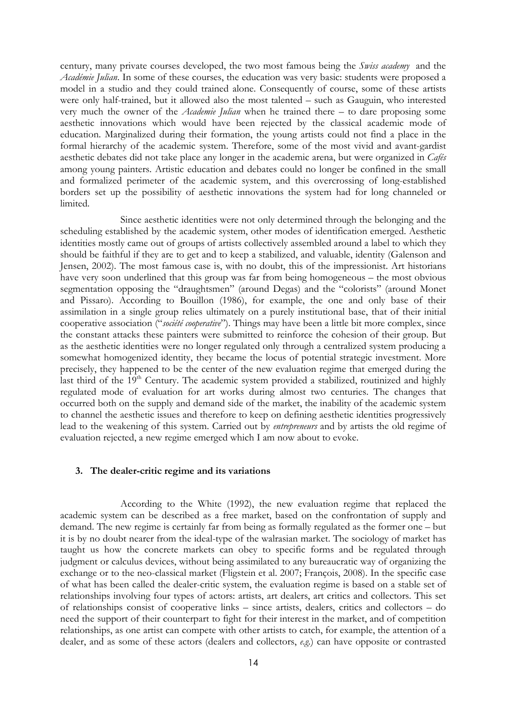century, many private courses developed, the two most famous being the *Swiss academy* and the Académie Julian. In some of these courses, the education was very basic: students were proposed a model in a studio and they could trained alone. Consequently of course, some of these artists were only half-trained, but it allowed also the most talented – such as Gauguin, who interested very much the owner of the Academie Julian when he trained there – to dare proposing some aesthetic innovations which would have been rejected by the classical academic mode of education. Marginalized during their formation, the young artists could not find a place in the formal hierarchy of the academic system. Therefore, some of the most vivid and avant-gardist aesthetic debates did not take place any longer in the academic arena, but were organized in Cafés among young painters. Artistic education and debates could no longer be confined in the small and formalized perimeter of the academic system, and this overcrossing of long-established borders set up the possibility of aesthetic innovations the system had for long channeled or limited.

Since aesthetic identities were not only determined through the belonging and the scheduling established by the academic system, other modes of identification emerged. Aesthetic identities mostly came out of groups of artists collectively assembled around a label to which they should be faithful if they are to get and to keep a stabilized, and valuable, identity (Galenson and Jensen, 2002). The most famous case is, with no doubt, this of the impressionist. Art historians have very soon underlined that this group was far from being homogeneous – the most obvious segmentation opposing the "draughtsmen" (around Degas) and the "colorists" (around Monet and Pissaro). According to Bouillon (1986), for example, the one and only base of their assimilation in a single group relies ultimately on a purely institutional base, that of their initial cooperative association ("société cooperative"). Things may have been a little bit more complex, since the constant attacks these painters were submitted to reinforce the cohesion of their group. But as the aesthetic identities were no longer regulated only through a centralized system producing a somewhat homogenized identity, they became the locus of potential strategic investment. More precisely, they happened to be the center of the new evaluation regime that emerged during the last third of the 19<sup>th</sup> Century. The academic system provided a stabilized, routinized and highly regulated mode of evaluation for art works during almost two centuries. The changes that occurred both on the supply and demand side of the market, the inability of the academic system to channel the aesthetic issues and therefore to keep on defining aesthetic identities progressively lead to the weakening of this system. Carried out by entrepreneurs and by artists the old regime of evaluation rejected, a new regime emerged which I am now about to evoke.

## 3. The dealer-critic regime and its variations

According to the White (1992), the new evaluation regime that replaced the academic system can be described as a free market, based on the confrontation of supply and demand. The new regime is certainly far from being as formally regulated as the former one – but it is by no doubt nearer from the ideal-type of the walrasian market. The sociology of market has taught us how the concrete markets can obey to specific forms and be regulated through judgment or calculus devices, without being assimilated to any bureaucratic way of organizing the exchange or to the neo-classical market (Fligstein et al. 2007; François, 2008). In the specific case of what has been called the dealer-critic system, the evaluation regime is based on a stable set of relationships involving four types of actors: artists, art dealers, art critics and collectors. This set of relationships consist of cooperative links – since artists, dealers, critics and collectors – do need the support of their counterpart to fight for their interest in the market, and of competition relationships, as one artist can compete with other artists to catch, for example, the attention of a dealer, and as some of these actors (dealers and collectors, e.g.) can have opposite or contrasted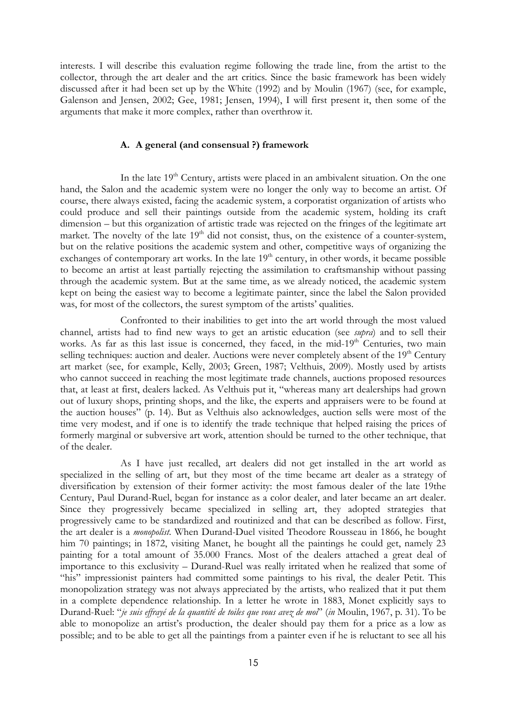interests. I will describe this evaluation regime following the trade line, from the artist to the collector, through the art dealer and the art critics. Since the basic framework has been widely discussed after it had been set up by the White (1992) and by Moulin (1967) (see, for example, Galenson and Jensen, 2002; Gee, 1981; Jensen, 1994), I will first present it, then some of the arguments that make it more complex, rather than overthrow it.

## A. A general (and consensual ?) framework

In the late  $19<sup>th</sup>$  Century, artists were placed in an ambivalent situation. On the one hand, the Salon and the academic system were no longer the only way to become an artist. Of course, there always existed, facing the academic system, a corporatist organization of artists who could produce and sell their paintings outside from the academic system, holding its craft dimension – but this organization of artistic trade was rejected on the fringes of the legitimate art market. The novelty of the late  $19<sup>th</sup>$  did not consist, thus, on the existence of a counter-system, but on the relative positions the academic system and other, competitive ways of organizing the exchanges of contemporary art works. In the late  $19<sup>th</sup>$  century, in other words, it became possible to become an artist at least partially rejecting the assimilation to craftsmanship without passing through the academic system. But at the same time, as we already noticed, the academic system kept on being the easiest way to become a legitimate painter, since the label the Salon provided was, for most of the collectors, the surest symptom of the artists' qualities.

Confronted to their inabilities to get into the art world through the most valued channel, artists had to find new ways to get an artistic education (see supra) and to sell their works. As far as this last issue is concerned, they faced, in the mid-19<sup>th</sup> Centuries, two main selling techniques: auction and dealer. Auctions were never completely absent of the  $19<sup>th</sup>$  Century art market (see, for example, Kelly, 2003; Green, 1987; Velthuis, 2009). Mostly used by artists who cannot succeed in reaching the most legitimate trade channels, auctions proposed resources that, at least at first, dealers lacked. As Velthuis put it, "whereas many art dealerships had grown out of luxury shops, printing shops, and the like, the experts and appraisers were to be found at the auction houses" (p. 14). But as Velthuis also acknowledges, auction sells were most of the time very modest, and if one is to identify the trade technique that helped raising the prices of formerly marginal or subversive art work, attention should be turned to the other technique, that of the dealer.

As I have just recalled, art dealers did not get installed in the art world as specialized in the selling of art, but they most of the time became art dealer as a strategy of diversification by extension of their former activity: the most famous dealer of the late 19the Century, Paul Durand-Ruel, began for instance as a color dealer, and later became an art dealer. Since they progressively became specialized in selling art, they adopted strategies that progressively came to be standardized and routinized and that can be described as follow. First, the art dealer is a *monopolist*. When Durand-Duel visited Theodore Rousseau in 1866, he bought him 70 paintings; in 1872, visiting Manet, he bought all the paintings he could get, namely 23 painting for a total amount of 35.000 Francs. Most of the dealers attached a great deal of importance to this exclusivity – Durand-Ruel was really irritated when he realized that some of "his" impressionist painters had committed some paintings to his rival, the dealer Petit. This monopolization strategy was not always appreciated by the artists, who realized that it put them in a complete dependence relationship. In a letter he wrote in 1883, Monet explicitly says to Durand-Ruel: "je suis effrayé de la quantité de toiles que vous avez de moi" (in Moulin, 1967, p. 31). To be able to monopolize an artist's production, the dealer should pay them for a price as a low as possible; and to be able to get all the paintings from a painter even if he is reluctant to see all his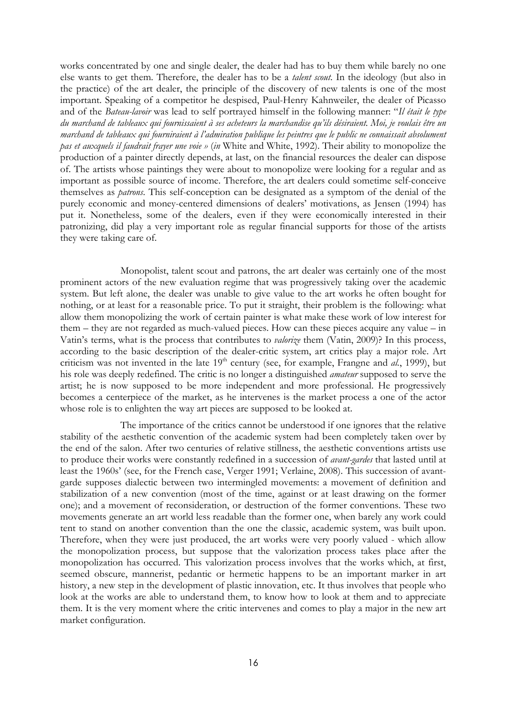works concentrated by one and single dealer, the dealer had has to buy them while barely no one else wants to get them. Therefore, the dealer has to be a talent scout. In the ideology (but also in the practice) of the art dealer, the principle of the discovery of new talents is one of the most important. Speaking of a competitor he despised, Paul-Henry Kahnweiler, the dealer of Picasso and of the Bateau-lavoir was lead to self portrayed himself in the following manner: "Il était le type du marchand de tableaux qui fournissaient à ses acheteurs la marchandise qu'ils désiraient. Moi, je voulais être un marchand de tableaux qui fourniraient à l'admiration publique les peintres que le public ne connaissait absolument pas et auxquels il faudrait frayer une voie » (in White and White, 1992). Their ability to monopolize the production of a painter directly depends, at last, on the financial resources the dealer can dispose of. The artists whose paintings they were about to monopolize were looking for a regular and as important as possible source of income. Therefore, the art dealers could sometime self-conceive themselves as patrons. This self-conception can be designated as a symptom of the denial of the purely economic and money-centered dimensions of dealers' motivations, as Jensen (1994) has put it. Nonetheless, some of the dealers, even if they were economically interested in their patronizing, did play a very important role as regular financial supports for those of the artists they were taking care of.

Monopolist, talent scout and patrons, the art dealer was certainly one of the most prominent actors of the new evaluation regime that was progressively taking over the academic system. But left alone, the dealer was unable to give value to the art works he often bought for nothing, or at least for a reasonable price. To put it straight, their problem is the following: what allow them monopolizing the work of certain painter is what make these work of low interest for them – they are not regarded as much-valued pieces. How can these pieces acquire any value – in Vatin's terms, what is the process that contributes to valorize them (Vatin, 2009)? In this process, according to the basic description of the dealer-critic system, art critics play a major role. Art criticism was not invented in the late  $19<sup>th</sup>$  century (see, for example, Frangne and *al.*, 1999), but his role was deeply redefined. The critic is no longer a distinguished amateur supposed to serve the artist; he is now supposed to be more independent and more professional. He progressively becomes a centerpiece of the market, as he intervenes is the market process a one of the actor whose role is to enlighten the way art pieces are supposed to be looked at.

The importance of the critics cannot be understood if one ignores that the relative stability of the aesthetic convention of the academic system had been completely taken over by the end of the salon. After two centuries of relative stillness, the aesthetic conventions artists use to produce their works were constantly redefined in a succession of *avant-gardes* that lasted until at least the 1960s' (see, for the French case, Verger 1991; Verlaine, 2008). This succession of avantgarde supposes dialectic between two intermingled movements: a movement of definition and stabilization of a new convention (most of the time, against or at least drawing on the former one); and a movement of reconsideration, or destruction of the former conventions. These two movements generate an art world less readable than the former one, when barely any work could tent to stand on another convention than the one the classic, academic system, was built upon. Therefore, when they were just produced, the art works were very poorly valued - which allow the monopolization process, but suppose that the valorization process takes place after the monopolization has occurred. This valorization process involves that the works which, at first, seemed obscure, mannerist, pedantic or hermetic happens to be an important marker in art history, a new step in the development of plastic innovation, etc. It thus involves that people who look at the works are able to understand them, to know how to look at them and to appreciate them. It is the very moment where the critic intervenes and comes to play a major in the new art market configuration.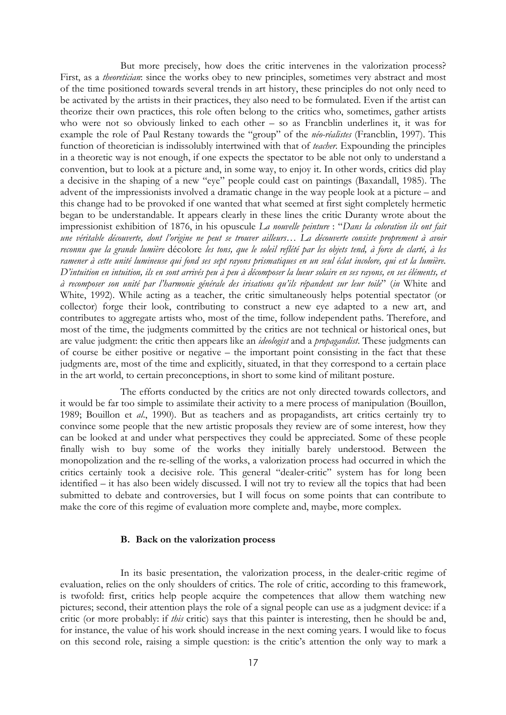But more precisely, how does the critic intervenes in the valorization process? First, as a *theoretician*: since the works obey to new principles, sometimes very abstract and most of the time positioned towards several trends in art history, these principles do not only need to be activated by the artists in their practices, they also need to be formulated. Even if the artist can theorize their own practices, this role often belong to the critics who, sometimes, gather artists who were not so obviously linked to each other – so as Francblin underlines it, it was for example the role of Paul Restany towards the "group" of the néo-réalistes (Francblin, 1997). This function of theoretician is indissolubly intertwined with that of *teacher*. Expounding the principles in a theoretic way is not enough, if one expects the spectator to be able not only to understand a convention, but to look at a picture and, in some way, to enjoy it. In other words, critics did play a decisive in the shaping of a new "eye" people could cast on paintings (Baxandall, 1985). The advent of the impressionists involved a dramatic change in the way people look at a picture – and this change had to be provoked if one wanted that what seemed at first sight completely hermetic began to be understandable. It appears clearly in these lines the critic Duranty wrote about the impressionist exhibition of 1876, in his opuscule La nouvelle peinture : "Dans la coloration ils ont fait une véritable découverte, dont l'origine ne peut se trouver ailleurs… La découverte consiste proprement à avoir reconnu que la grande lumière décolore les tons, que le soleil reflété par les objets tend, à force de clarté, à les ramener à cette unité lumineuse qui fond ses sept rayons prismatiques en un seul éclat incolore, qui est la lumière. D'intuition en intuition, ils en sont arrivés peu à peu à décomposer la lueur solaire en ses rayons, en ses éléments, et à recomposer son unité par l'harmonie générale des irisations qu'ils répandent sur leur toile" (in White and White, 1992). While acting as a teacher, the critic simultaneously helps potential spectator (or collector) forge their look, contributing to construct a new eye adapted to a new art, and contributes to aggregate artists who, most of the time, follow independent paths. Therefore, and most of the time, the judgments committed by the critics are not technical or historical ones, but are value judgment: the critic then appears like an *ideologist* and a *propagandist*. These judgments can of course be either positive or negative – the important point consisting in the fact that these judgments are, most of the time and explicitly, situated, in that they correspond to a certain place in the art world, to certain preconceptions, in short to some kind of militant posture.

The efforts conducted by the critics are not only directed towards collectors, and it would be far too simple to assimilate their activity to a mere process of manipulation (Bouillon, 1989; Bouillon et al., 1990). But as teachers and as propagandists, art critics certainly try to convince some people that the new artistic proposals they review are of some interest, how they can be looked at and under what perspectives they could be appreciated. Some of these people finally wish to buy some of the works they initially barely understood. Between the monopolization and the re-selling of the works, a valorization process had occurred in which the critics certainly took a decisive role. This general "dealer-critic" system has for long been identified – it has also been widely discussed. I will not try to review all the topics that had been submitted to debate and controversies, but I will focus on some points that can contribute to make the core of this regime of evaluation more complete and, maybe, more complex.

### B. Back on the valorization process

In its basic presentation, the valorization process, in the dealer-critic regime of evaluation, relies on the only shoulders of critics. The role of critic, according to this framework, is twofold: first, critics help people acquire the competences that allow them watching new pictures; second, their attention plays the role of a signal people can use as a judgment device: if a critic (or more probably: if this critic) says that this painter is interesting, then he should be and, for instance, the value of his work should increase in the next coming years. I would like to focus on this second role, raising a simple question: is the critic's attention the only way to mark a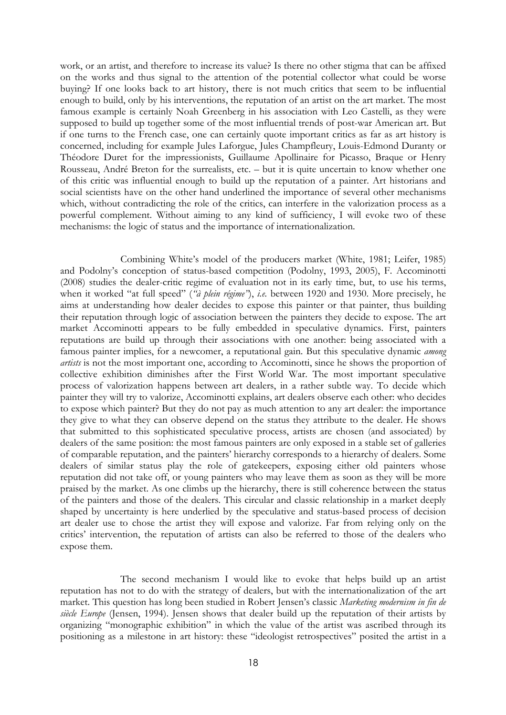work, or an artist, and therefore to increase its value? Is there no other stigma that can be affixed on the works and thus signal to the attention of the potential collector what could be worse buying? If one looks back to art history, there is not much critics that seem to be influential enough to build, only by his interventions, the reputation of an artist on the art market. The most famous example is certainly Noah Greenberg in his association with Leo Castelli, as they were supposed to build up together some of the most influential trends of post-war American art. But if one turns to the French case, one can certainly quote important critics as far as art history is concerned, including for example Jules Laforgue, Jules Champfleury, Louis-Edmond Duranty or Théodore Duret for the impressionists, Guillaume Apollinaire for Picasso, Braque or Henry Rousseau, André Breton for the surrealists, etc. – but it is quite uncertain to know whether one of this critic was influential enough to build up the reputation of a painter. Art historians and social scientists have on the other hand underlined the importance of several other mechanisms which, without contradicting the role of the critics, can interfere in the valorization process as a powerful complement. Without aiming to any kind of sufficiency, I will evoke two of these mechanisms: the logic of status and the importance of internationalization.

Combining White's model of the producers market (White, 1981; Leifer, 1985) and Podolny's conception of status-based competition (Podolny, 1993, 2005), F. Accominotti (2008) studies the dealer-critic regime of evaluation not in its early time, but, to use his terms, when it worked "at full speed" ("à plein régime"), i.e. between 1920 and 1930. More precisely, he aims at understanding how dealer decides to expose this painter or that painter, thus building their reputation through logic of association between the painters they decide to expose. The art market Accominotti appears to be fully embedded in speculative dynamics. First, painters reputations are build up through their associations with one another: being associated with a famous painter implies, for a newcomer, a reputational gain. But this speculative dynamic *among* artists is not the most important one, according to Accominotti, since he shows the proportion of collective exhibition diminishes after the First World War. The most important speculative process of valorization happens between art dealers, in a rather subtle way. To decide which painter they will try to valorize, Accominotti explains, art dealers observe each other: who decides to expose which painter? But they do not pay as much attention to any art dealer: the importance they give to what they can observe depend on the status they attribute to the dealer. He shows that submitted to this sophisticated speculative process, artists are chosen (and associated) by dealers of the same position: the most famous painters are only exposed in a stable set of galleries of comparable reputation, and the painters' hierarchy corresponds to a hierarchy of dealers. Some dealers of similar status play the role of gatekeepers, exposing either old painters whose reputation did not take off, or young painters who may leave them as soon as they will be more praised by the market. As one climbs up the hierarchy, there is still coherence between the status of the painters and those of the dealers. This circular and classic relationship in a market deeply shaped by uncertainty is here underlied by the speculative and status-based process of decision art dealer use to chose the artist they will expose and valorize. Far from relying only on the critics' intervention, the reputation of artists can also be referred to those of the dealers who expose them.

The second mechanism I would like to evoke that helps build up an artist reputation has not to do with the strategy of dealers, but with the internationalization of the art market. This question has long been studied in Robert Jensen's classic Marketing modernism in fin de siècle Europe (Jensen, 1994). Jensen shows that dealer build up the reputation of their artists by organizing "monographic exhibition" in which the value of the artist was ascribed through its positioning as a milestone in art history: these "ideologist retrospectives" posited the artist in a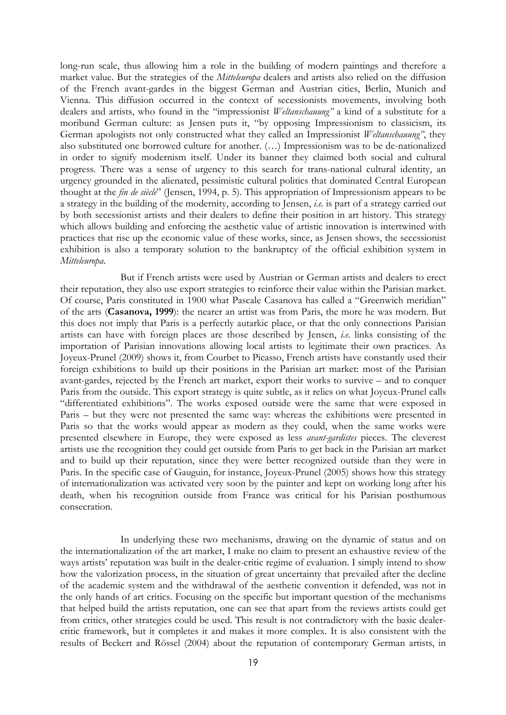long-run scale, thus allowing him a role in the building of modern paintings and therefore a market value. But the strategies of the Mitteleuropa dealers and artists also relied on the diffusion of the French avant-gardes in the biggest German and Austrian cities, Berlin, Munich and Vienna. This diffusion occurred in the context of secessionists movements, involving both dealers and artists, who found in the "impressionist Weltanschauung" a kind of a substitute for a moribund German culture: as Jensen puts it, "by opposing Impressionism to classicism, its German apologists not only constructed what they called an Impressionist Weltanschauung", they also substituted one borrowed culture for another. (…) Impressionism was to be de-nationalized in order to signify modernism itself. Under its banner they claimed both social and cultural progress. There was a sense of urgency to this search for trans-national cultural identity, an urgency grounded in the alienated, pessimistic cultural politics that dominated Central European thought at the fin de siècle" (Jensen, 1994, p. 5). This appropriation of Impressionism appears to be a strategy in the building of the modernity, according to Jensen, i.e. is part of a strategy carried out by both secessionist artists and their dealers to define their position in art history. This strategy which allows building and enforcing the aesthetic value of artistic innovation is intertwined with practices that rise up the economic value of these works, since, as Jensen shows, the secessionist exhibition is also a temporary solution to the bankruptcy of the official exhibition system in Mitteleuropa.

But if French artists were used by Austrian or German artists and dealers to erect their reputation, they also use export strategies to reinforce their value within the Parisian market. Of course, Paris constituted in 1900 what Pascale Casanova has called a "Greenwich meridian" of the arts (Casanova, 1999): the nearer an artist was from Paris, the more he was modern. But this does not imply that Paris is a perfectly autarkic place, or that the only connections Parisian artists can have with foreign places are those described by Jensen, i.e. links consisting of the importation of Parisian innovations allowing local artists to legitimate their own practices. As Joyeux-Prunel (2009) shows it, from Courbet to Picasso, French artists have constantly used their foreign exhibitions to build up their positions in the Parisian art market: most of the Parisian avant-gardes, rejected by the French art market, export their works to survive – and to conquer Paris from the outside. This export strategy is quite subtle, as it relies on what Joyeux-Prunel calls "differentiated exhibitions". The works exposed outside were the same that were exposed in Paris – but they were not presented the same way: whereas the exhibitions were presented in Paris so that the works would appear as modern as they could, when the same works were presented elsewhere in Europe, they were exposed as less avant-gardistes pieces. The cleverest artists use the recognition they could get outside from Paris to get back in the Parisian art market and to build up their reputation, since they were better recognized outside than they were in Paris. In the specific case of Gauguin, for instance, Joyeux-Prunel (2005) shows how this strategy of internationalization was activated very soon by the painter and kept on working long after his death, when his recognition outside from France was critical for his Parisian posthumous consecration.

In underlying these two mechanisms, drawing on the dynamic of status and on the internationalization of the art market, I make no claim to present an exhaustive review of the ways artists' reputation was built in the dealer-critic regime of evaluation. I simply intend to show how the valorization process, in the situation of great uncertainty that prevailed after the decline of the academic system and the withdrawal of the aesthetic convention it defended, was not in the only hands of art critics. Focusing on the specific but important question of the mechanisms that helped build the artists reputation, one can see that apart from the reviews artists could get from critics, other strategies could be used. This result is not contradictory with the basic dealercritic framework, but it completes it and makes it more complex. It is also consistent with the results of Beckert and Rössel (2004) about the reputation of contemporary German artists, in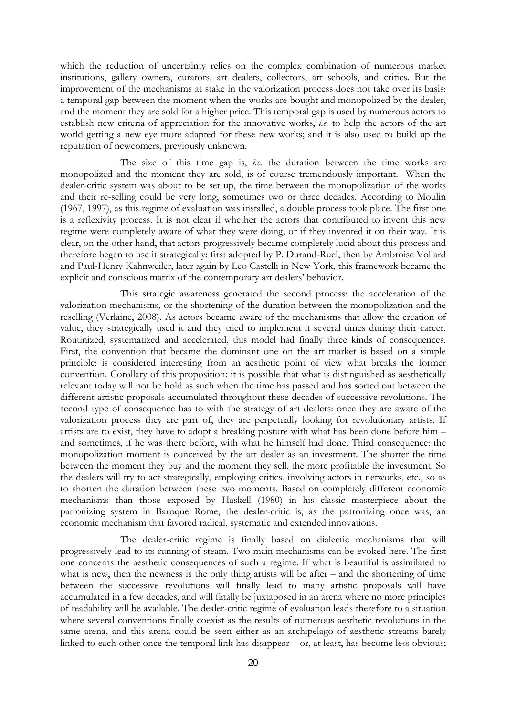which the reduction of uncertainty relies on the complex combination of numerous market institutions, gallery owners, curators, art dealers, collectors, art schools, and critics. But the improvement of the mechanisms at stake in the valorization process does not take over its basis: a temporal gap between the moment when the works are bought and monopolized by the dealer, and the moment they are sold for a higher price. This temporal gap is used by numerous actors to establish new criteria of appreciation for the innovative works, *i.e.* to help the actors of the art world getting a new eye more adapted for these new works; and it is also used to build up the reputation of newcomers, previously unknown.

The size of this time gap is, *i.e.* the duration between the time works are monopolized and the moment they are sold, is of course tremendously important. When the dealer-critic system was about to be set up, the time between the monopolization of the works and their re-selling could be very long, sometimes two or three decades. According to Moulin (1967, 1997), as this regime of evaluation was installed, a double process took place. The first one is a reflexivity process. It is not clear if whether the actors that contributed to invent this new regime were completely aware of what they were doing, or if they invented it on their way. It is clear, on the other hand, that actors progressively became completely lucid about this process and therefore began to use it strategically: first adopted by P. Durand-Ruel, then by Ambroise Vollard and Paul-Henry Kahnweiler, later again by Leo Castelli in New York, this framework became the explicit and conscious matrix of the contemporary art dealers' behavior.

This strategic awareness generated the second process: the acceleration of the valorization mechanisms, or the shortening of the duration between the monopolization and the reselling (Verlaine, 2008). As actors became aware of the mechanisms that allow the creation of value, they strategically used it and they tried to implement it several times during their career. Routinized, systematized and accelerated, this model had finally three kinds of consequences. First, the convention that became the dominant one on the art market is based on a simple principle: is considered interesting from an aesthetic point of view what breaks the former convention. Corollary of this proposition: it is possible that what is distinguished as aesthetically relevant today will not be hold as such when the time has passed and has sorted out between the different artistic proposals accumulated throughout these decades of successive revolutions. The second type of consequence has to with the strategy of art dealers: once they are aware of the valorization process they are part of, they are perpetually looking for revolutionary artists. If artists are to exist, they have to adopt a breaking posture with what has been done before him – and sometimes, if he was there before, with what he himself had done. Third consequence: the monopolization moment is conceived by the art dealer as an investment. The shorter the time between the moment they buy and the moment they sell, the more profitable the investment. So the dealers will try to act strategically, employing critics, involving actors in networks, etc., so as to shorten the duration between these two moments. Based on completely different economic mechanisms than those exposed by Haskell (1980) in his classic masterpiece about the patronizing system in Baroque Rome, the dealer-critic is, as the patronizing once was, an economic mechanism that favored radical, systematic and extended innovations.

The dealer-critic regime is finally based on dialectic mechanisms that will progressively lead to its running of steam. Two main mechanisms can be evoked here. The first one concerns the aesthetic consequences of such a regime. If what is beautiful is assimilated to what is new, then the newness is the only thing artists will be after – and the shortening of time between the successive revolutions will finally lead to many artistic proposals will have accumulated in a few decades, and will finally be juxtaposed in an arena where no more principles of readability will be available. The dealer-critic regime of evaluation leads therefore to a situation where several conventions finally coexist as the results of numerous aesthetic revolutions in the same arena, and this arena could be seen either as an archipelago of aesthetic streams barely linked to each other once the temporal link has disappear – or, at least, has become less obvious;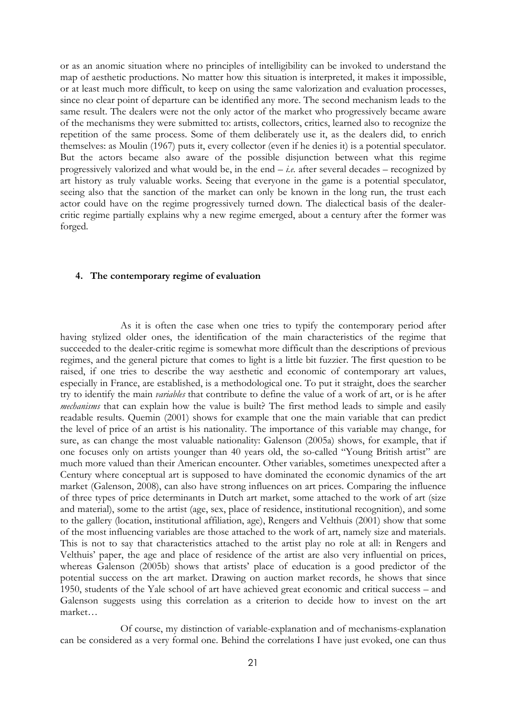or as an anomic situation where no principles of intelligibility can be invoked to understand the map of aesthetic productions. No matter how this situation is interpreted, it makes it impossible, or at least much more difficult, to keep on using the same valorization and evaluation processes, since no clear point of departure can be identified any more. The second mechanism leads to the same result. The dealers were not the only actor of the market who progressively became aware of the mechanisms they were submitted to: artists, collectors, critics, learned also to recognize the repetition of the same process. Some of them deliberately use it, as the dealers did, to enrich themselves: as Moulin (1967) puts it, every collector (even if he denies it) is a potential speculator. But the actors became also aware of the possible disjunction between what this regime progressively valorized and what would be, in the end  $-i.e.$  after several decades – recognized by art history as truly valuable works. Seeing that everyone in the game is a potential speculator, seeing also that the sanction of the market can only be known in the long run, the trust each actor could have on the regime progressively turned down. The dialectical basis of the dealercritic regime partially explains why a new regime emerged, about a century after the former was forged.

## 4. The contemporary regime of evaluation

As it is often the case when one tries to typify the contemporary period after having stylized older ones, the identification of the main characteristics of the regime that succeeded to the dealer-critic regime is somewhat more difficult than the descriptions of previous regimes, and the general picture that comes to light is a little bit fuzzier. The first question to be raised, if one tries to describe the way aesthetic and economic of contemporary art values, especially in France, are established, is a methodological one. To put it straight, does the searcher try to identify the main variables that contribute to define the value of a work of art, or is he after mechanisms that can explain how the value is built? The first method leads to simple and easily readable results. Quemin (2001) shows for example that one the main variable that can predict the level of price of an artist is his nationality. The importance of this variable may change, for sure, as can change the most valuable nationality: Galenson (2005a) shows, for example, that if one focuses only on artists younger than 40 years old, the so-called "Young British artist" are much more valued than their American encounter. Other variables, sometimes unexpected after a Century where conceptual art is supposed to have dominated the economic dynamics of the art market (Galenson, 2008), can also have strong influences on art prices. Comparing the influence of three types of price determinants in Dutch art market, some attached to the work of art (size and material), some to the artist (age, sex, place of residence, institutional recognition), and some to the gallery (location, institutional affiliation, age), Rengers and Velthuis (2001) show that some of the most influencing variables are those attached to the work of art, namely size and materials. This is not to say that characteristics attached to the artist play no role at all: in Rengers and Velthuis' paper, the age and place of residence of the artist are also very influential on prices, whereas Galenson (2005b) shows that artists' place of education is a good predictor of the potential success on the art market. Drawing on auction market records, he shows that since 1950, students of the Yale school of art have achieved great economic and critical success – and Galenson suggests using this correlation as a criterion to decide how to invest on the art market…

Of course, my distinction of variable-explanation and of mechanisms-explanation can be considered as a very formal one. Behind the correlations I have just evoked, one can thus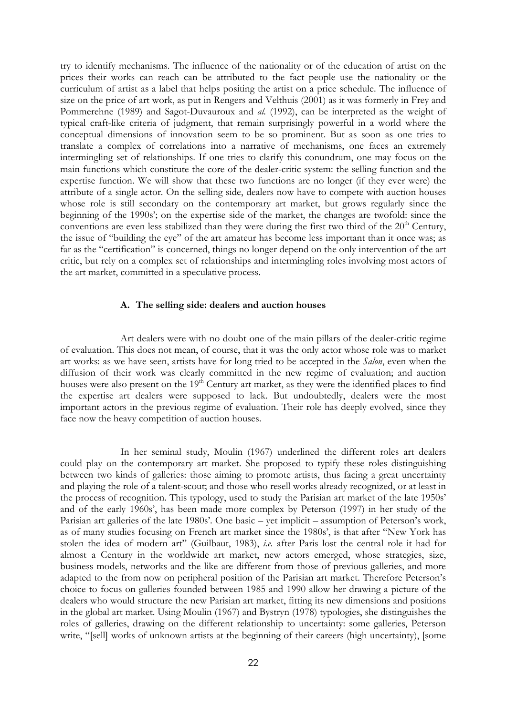try to identify mechanisms. The influence of the nationality or of the education of artist on the prices their works can reach can be attributed to the fact people use the nationality or the curriculum of artist as a label that helps positing the artist on a price schedule. The influence of size on the price of art work, as put in Rengers and Velthuis (2001) as it was formerly in Frey and Pommerehne (1989) and Sagot-Duvauroux and al. (1992), can be interpreted as the weight of typical craft-like criteria of judgment, that remain surprisingly powerful in a world where the conceptual dimensions of innovation seem to be so prominent. But as soon as one tries to translate a complex of correlations into a narrative of mechanisms, one faces an extremely intermingling set of relationships. If one tries to clarify this conundrum, one may focus on the main functions which constitute the core of the dealer-critic system: the selling function and the expertise function. We will show that these two functions are no longer (if they ever were) the attribute of a single actor. On the selling side, dealers now have to compete with auction houses whose role is still secondary on the contemporary art market, but grows regularly since the beginning of the 1990s'; on the expertise side of the market, the changes are twofold: since the conventions are even less stabilized than they were during the first two third of the  $20<sup>th</sup>$  Century, the issue of "building the eye" of the art amateur has become less important than it once was; as far as the "certification" is concerned, things no longer depend on the only intervention of the art critic, but rely on a complex set of relationships and intermingling roles involving most actors of the art market, committed in a speculative process.

### A. The selling side: dealers and auction houses

Art dealers were with no doubt one of the main pillars of the dealer-critic regime of evaluation. This does not mean, of course, that it was the only actor whose role was to market art works: as we have seen, artists have for long tried to be accepted in the Salon, even when the diffusion of their work was clearly committed in the new regime of evaluation; and auction houses were also present on the 19<sup>th</sup> Century art market, as they were the identified places to find the expertise art dealers were supposed to lack. But undoubtedly, dealers were the most important actors in the previous regime of evaluation. Their role has deeply evolved, since they face now the heavy competition of auction houses.

In her seminal study, Moulin (1967) underlined the different roles art dealers could play on the contemporary art market. She proposed to typify these roles distinguishing between two kinds of galleries: those aiming to promote artists, thus facing a great uncertainty and playing the role of a talent-scout; and those who resell works already recognized, or at least in the process of recognition. This typology, used to study the Parisian art market of the late 1950s' and of the early 1960s', has been made more complex by Peterson (1997) in her study of the Parisian art galleries of the late 1980s'. One basic – yet implicit – assumption of Peterson's work, as of many studies focusing on French art market since the 1980s', is that after "New York has stolen the idea of modern art" (Guilbaut, 1983), i.e. after Paris lost the central role it had for almost a Century in the worldwide art market, new actors emerged, whose strategies, size, business models, networks and the like are different from those of previous galleries, and more adapted to the from now on peripheral position of the Parisian art market. Therefore Peterson's choice to focus on galleries founded between 1985 and 1990 allow her drawing a picture of the dealers who would structure the new Parisian art market, fitting its new dimensions and positions in the global art market. Using Moulin (1967) and Bystryn (1978) typologies, she distinguishes the roles of galleries, drawing on the different relationship to uncertainty: some galleries, Peterson write, "[sell] works of unknown artists at the beginning of their careers (high uncertainty), [some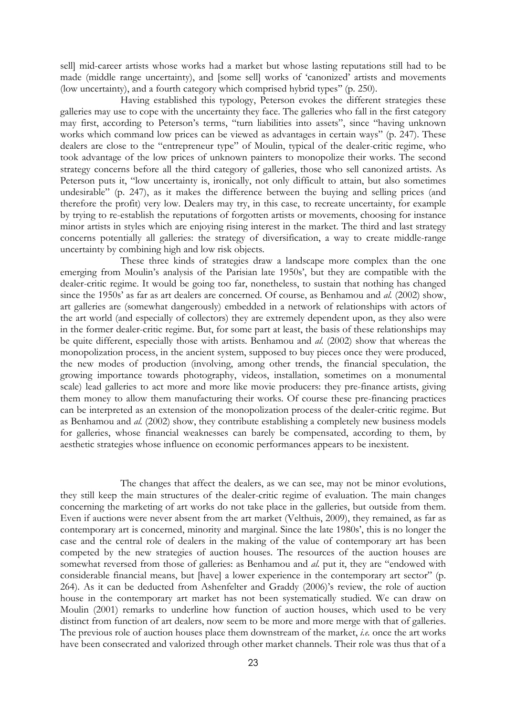sell] mid-career artists whose works had a market but whose lasting reputations still had to be made (middle range uncertainty), and [some sell] works of 'canonized' artists and movements (low uncertainty), and a fourth category which comprised hybrid types'' (p. 250).

Having established this typology, Peterson evokes the different strategies these galleries may use to cope with the uncertainty they face. The galleries who fall in the first category may first, according to Peterson's terms, "turn liabilities into assets", since "having unknown works which command low prices can be viewed as advantages in certain ways" (p. 247). These dealers are close to the "entrepreneur type" of Moulin, typical of the dealer-critic regime, who took advantage of the low prices of unknown painters to monopolize their works. The second strategy concerns before all the third category of galleries, those who sell canonized artists. As Peterson puts it, "low uncertainty is, ironically, not only difficult to attain, but also sometimes undesirable" (p. 247), as it makes the difference between the buying and selling prices (and therefore the profit) very low. Dealers may try, in this case, to recreate uncertainty, for example by trying to re-establish the reputations of forgotten artists or movements, choosing for instance minor artists in styles which are enjoying rising interest in the market. The third and last strategy concerns potentially all galleries: the strategy of diversification, a way to create middle-range uncertainty by combining high and low risk objects.

These three kinds of strategies draw a landscape more complex than the one emerging from Moulin's analysis of the Parisian late 1950s', but they are compatible with the dealer-critic regime. It would be going too far, nonetheless, to sustain that nothing has changed since the 1950s' as far as art dealers are concerned. Of course, as Benhamou and al. (2002) show, art galleries are (somewhat dangerously) embedded in a network of relationships with actors of the art world (and especially of collectors) they are extremely dependent upon, as they also were in the former dealer-critic regime. But, for some part at least, the basis of these relationships may be quite different, especially those with artists. Benhamou and al. (2002) show that whereas the monopolization process, in the ancient system, supposed to buy pieces once they were produced, the new modes of production (involving, among other trends, the financial speculation, the growing importance towards photography, videos, installation, sometimes on a monumental scale) lead galleries to act more and more like movie producers: they pre-finance artists, giving them money to allow them manufacturing their works. Of course these pre-financing practices can be interpreted as an extension of the monopolization process of the dealer-critic regime. But as Benhamou and al. (2002) show, they contribute establishing a completely new business models for galleries, whose financial weaknesses can barely be compensated, according to them, by aesthetic strategies whose influence on economic performances appears to be inexistent.

The changes that affect the dealers, as we can see, may not be minor evolutions, they still keep the main structures of the dealer-critic regime of evaluation. The main changes concerning the marketing of art works do not take place in the galleries, but outside from them. Even if auctions were never absent from the art market (Velthuis, 2009), they remained, as far as contemporary art is concerned, minority and marginal. Since the late 1980s', this is no longer the case and the central role of dealers in the making of the value of contemporary art has been competed by the new strategies of auction houses. The resources of the auction houses are somewhat reversed from those of galleries: as Benhamou and *al.* put it, they are "endowed with considerable financial means, but [have] a lower experience in the contemporary art sector" (p. 264). As it can be deducted from Ashenfelter and Graddy (2006)'s review, the role of auction house in the contemporary art market has not been systematically studied. We can draw on Moulin (2001) remarks to underline how function of auction houses, which used to be very distinct from function of art dealers, now seem to be more and more merge with that of galleries. The previous role of auction houses place them downstream of the market, *i.e.* once the art works have been consecrated and valorized through other market channels. Their role was thus that of a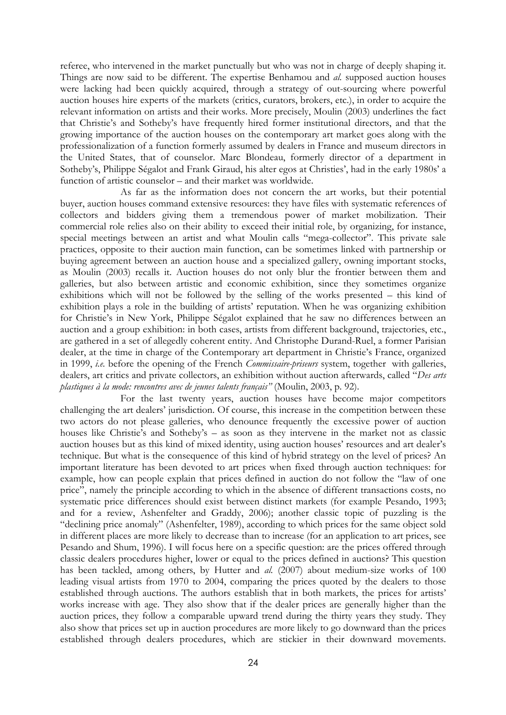referee, who intervened in the market punctually but who was not in charge of deeply shaping it. Things are now said to be different. The expertise Benhamou and al. supposed auction houses were lacking had been quickly acquired, through a strategy of out-sourcing where powerful auction houses hire experts of the markets (critics, curators, brokers, etc.), in order to acquire the relevant information on artists and their works. More precisely, Moulin (2003) underlines the fact that Christie's and Sotheby's have frequently hired former institutional directors, and that the growing importance of the auction houses on the contemporary art market goes along with the professionalization of a function formerly assumed by dealers in France and museum directors in the United States, that of counselor. Marc Blondeau, formerly director of a department in Sotheby's, Philippe Ségalot and Frank Giraud, his alter egos at Christies', had in the early 1980s' a function of artistic counselor – and their market was worldwide.

As far as the information does not concern the art works, but their potential buyer, auction houses command extensive resources: they have files with systematic references of collectors and bidders giving them a tremendous power of market mobilization. Their commercial role relies also on their ability to exceed their initial role, by organizing, for instance, special meetings between an artist and what Moulin calls "mega-collector". This private sale practices, opposite to their auction main function, can be sometimes linked with partnership or buying agreement between an auction house and a specialized gallery, owning important stocks, as Moulin (2003) recalls it. Auction houses do not only blur the frontier between them and galleries, but also between artistic and economic exhibition, since they sometimes organize exhibitions which will not be followed by the selling of the works presented – this kind of exhibition plays a role in the building of artists' reputation. When he was organizing exhibition for Christie's in New York, Philippe Ségalot explained that he saw no differences between an auction and a group exhibition: in both cases, artists from different background, trajectories, etc., are gathered in a set of allegedly coherent entity. And Christophe Durand-Ruel, a former Parisian dealer, at the time in charge of the Contemporary art department in Christie's France, organized in 1999, *i.e.* before the opening of the French *Commissaire-priseurs* system, together with galleries, dealers, art critics and private collectors, an exhibition without auction afterwards, called "Des arts plastiques à la mode: rencontres avec de jeunes talents français" (Moulin, 2003, p. 92).

For the last twenty years, auction houses have become major competitors challenging the art dealers' jurisdiction. Of course, this increase in the competition between these two actors do not please galleries, who denounce frequently the excessive power of auction houses like Christie's and Sotheby's – as soon as they intervene in the market not as classic auction houses but as this kind of mixed identity, using auction houses' resources and art dealer's technique. But what is the consequence of this kind of hybrid strategy on the level of prices? An important literature has been devoted to art prices when fixed through auction techniques: for example, how can people explain that prices defined in auction do not follow the "law of one price", namely the principle according to which in the absence of different transactions costs, no systematic price differences should exist between distinct markets (for example Pesando, 1993; and for a review, Ashenfelter and Graddy, 2006); another classic topic of puzzling is the "declining price anomaly" (Ashenfelter, 1989), according to which prices for the same object sold in different places are more likely to decrease than to increase (for an application to art prices, see Pesando and Shum, 1996). I will focus here on a specific question: are the prices offered through classic dealers procedures higher, lower or equal to the prices defined in auctions? This question has been tackled, among others, by Hutter and al. (2007) about medium-size works of 100 leading visual artists from 1970 to 2004, comparing the prices quoted by the dealers to those established through auctions. The authors establish that in both markets, the prices for artists' works increase with age. They also show that if the dealer prices are generally higher than the auction prices, they follow a comparable upward trend during the thirty years they study. They also show that prices set up in auction procedures are more likely to go downward than the prices established through dealers procedures, which are stickier in their downward movements.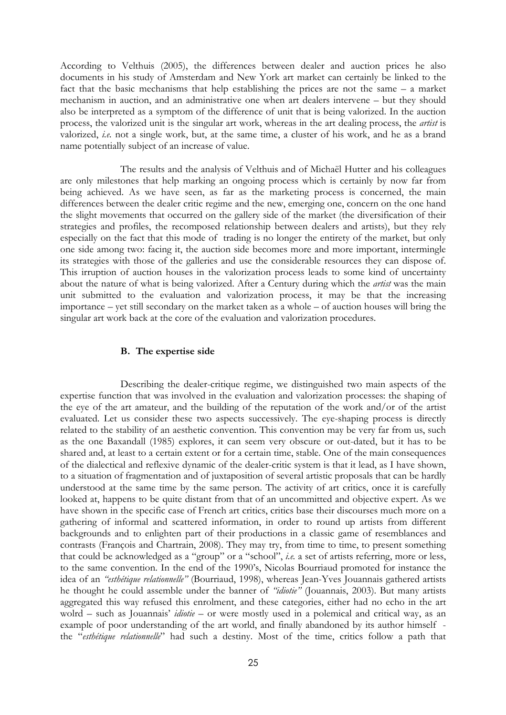According to Velthuis (2005), the differences between dealer and auction prices he also documents in his study of Amsterdam and New York art market can certainly be linked to the fact that the basic mechanisms that help establishing the prices are not the same – a market mechanism in auction, and an administrative one when art dealers intervene – but they should also be interpreted as a symptom of the difference of unit that is being valorized. In the auction process, the valorized unit is the singular art work, whereas in the art dealing process, the artist is valorized, i.e. not a single work, but, at the same time, a cluster of his work, and he as a brand name potentially subject of an increase of value.

The results and the analysis of Velthuis and of Michaël Hutter and his colleagues are only milestones that help marking an ongoing process which is certainly by now far from being achieved. As we have seen, as far as the marketing process is concerned, the main differences between the dealer critic regime and the new, emerging one, concern on the one hand the slight movements that occurred on the gallery side of the market (the diversification of their strategies and profiles, the recomposed relationship between dealers and artists), but they rely especially on the fact that this mode of trading is no longer the entirety of the market, but only one side among two: facing it, the auction side becomes more and more important, intermingle its strategies with those of the galleries and use the considerable resources they can dispose of. This irruption of auction houses in the valorization process leads to some kind of uncertainty about the nature of what is being valorized. After a Century during which the *artist* was the main unit submitted to the evaluation and valorization process, it may be that the increasing importance – yet still secondary on the market taken as a whole – of auction houses will bring the singular art work back at the core of the evaluation and valorization procedures.

#### B. The expertise side

Describing the dealer-critique regime, we distinguished two main aspects of the expertise function that was involved in the evaluation and valorization processes: the shaping of the eye of the art amateur, and the building of the reputation of the work and/or of the artist evaluated. Let us consider these two aspects successively. The eye-shaping process is directly related to the stability of an aesthetic convention. This convention may be very far from us, such as the one Baxandall (1985) explores, it can seem very obscure or out-dated, but it has to be shared and, at least to a certain extent or for a certain time, stable. One of the main consequences of the dialectical and reflexive dynamic of the dealer-critic system is that it lead, as I have shown, to a situation of fragmentation and of juxtaposition of several artistic proposals that can be hardly understood at the same time by the same person. The activity of art critics, once it is carefully looked at, happens to be quite distant from that of an uncommitted and objective expert. As we have shown in the specific case of French art critics, critics base their discourses much more on a gathering of informal and scattered information, in order to round up artists from different backgrounds and to enlighten part of their productions in a classic game of resemblances and contrasts (François and Chartrain, 2008). They may try, from time to time, to present something that could be acknowledged as a "group" or a "school", i.e. a set of artists referring, more or less, to the same convention. In the end of the 1990's, Nicolas Bourriaud promoted for instance the idea of an "esthétique relationnelle" (Bourriaud, 1998), whereas Jean-Yves Jouannais gathered artists he thought he could assemble under the banner of "idiotie" (Jouannais, 2003). But many artists aggregated this way refused this enrolment, and these categories, either had no echo in the art wolrd – such as Jouannais' *idiotie* – or were mostly used in a polemical and critical way, as an example of poor understanding of the art world, and finally abandoned by its author himself the "esthétique relationnelle" had such a destiny. Most of the time, critics follow a path that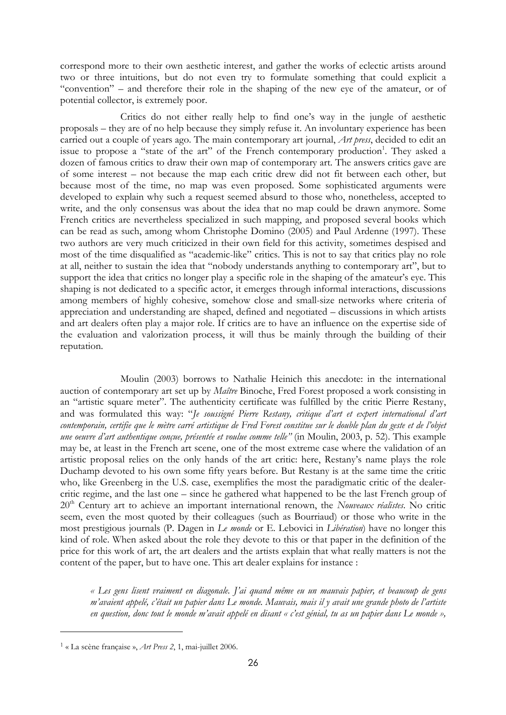correspond more to their own aesthetic interest, and gather the works of eclectic artists around two or three intuitions, but do not even try to formulate something that could explicit a "convention" – and therefore their role in the shaping of the new eye of the amateur, or of potential collector, is extremely poor.

Critics do not either really help to find one's way in the jungle of aesthetic proposals – they are of no help because they simply refuse it. An involuntary experience has been carried out a couple of years ago. The main contemporary art journal, *Art press*, decided to edit an issue to propose a "state of the art" of the French contemporary production<sup>1</sup>. They asked a dozen of famous critics to draw their own map of contemporary art. The answers critics gave are of some interest – not because the map each critic drew did not fit between each other, but because most of the time, no map was even proposed. Some sophisticated arguments were developed to explain why such a request seemed absurd to those who, nonetheless, accepted to write, and the only consensus was about the idea that no map could be drawn anymore. Some French critics are nevertheless specialized in such mapping, and proposed several books which can be read as such, among whom Christophe Domino (2005) and Paul Ardenne (1997). These two authors are very much criticized in their own field for this activity, sometimes despised and most of the time disqualified as "academic-like" critics. This is not to say that critics play no role at all, neither to sustain the idea that "nobody understands anything to contemporary art", but to support the idea that critics no longer play a specific role in the shaping of the amateur's eye. This shaping is not dedicated to a specific actor, it emerges through informal interactions, discussions among members of highly cohesive, somehow close and small-size networks where criteria of appreciation and understanding are shaped, defined and negotiated – discussions in which artists and art dealers often play a major role. If critics are to have an influence on the expertise side of the evaluation and valorization process, it will thus be mainly through the building of their reputation.

Moulin (2003) borrows to Nathalie Heinich this anecdote: in the international auction of contemporary art set up by Maître Binoche, Fred Forest proposed a work consisting in an "artistic square meter". The authenticity certificate was fulfilled by the critic Pierre Restany, and was formulated this way: "Je soussigné Pierre Restany, critique d'art et expert international d'art contemporain, certifie que le mètre carré artistique de Fred Forest constitue sur le double plan du geste et de l'objet une oeuvre d'art authentique conçue, présentée et voulue comme telle" (in Moulin, 2003, p. 52). This example may be, at least in the French art scene, one of the most extreme case where the validation of an artistic proposal relies on the only hands of the art critic: here, Restany's name plays the role Duchamp devoted to his own some fifty years before. But Restany is at the same time the critic who, like Greenberg in the U.S. case, exemplifies the most the paradigmatic critic of the dealercritic regime, and the last one – since he gathered what happened to be the last French group of  $20<sup>th</sup>$  Century art to achieve an important international renown, the Nouveaux réalistes. No critic seem, even the most quoted by their colleagues (such as Bourriaud) or those who write in the most prestigious journals (P. Dagen in Le monde or E. Lebovici in Libération) have no longer this kind of role. When asked about the role they devote to this or that paper in the definition of the price for this work of art, the art dealers and the artists explain that what really matters is not the content of the paper, but to have one. This art dealer explains for instance :

« Les gens lisent vraiment en diagonale. J'ai quand même eu un mauvais papier, et beaucoup de gens m'avaient appelé, c'était un papier dans Le monde. Mauvais, mais il y avait une grande photo de l'artiste en question, donc tout le monde m'avait appelé en disant « c'est génial, tu as un papier dans Le monde »,

L

<sup>1</sup> « La scène française », Art Press 2, 1, mai-juillet 2006.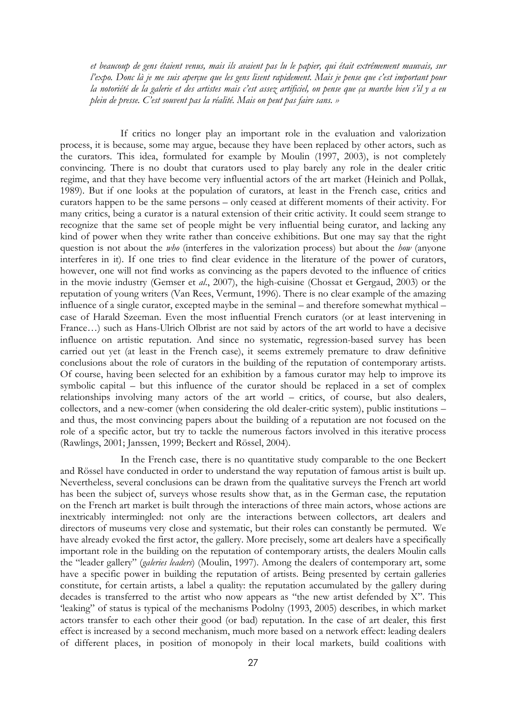et beaucoup de gens étaient venus, mais ils avaient pas lu le papier, qui était extrêmement mauvais, sur l'expo. Donc là je me suis aperçue que les gens lisent rapidement. Mais je pense que c'est important pour la notoriété de la galerie et des artistes mais c'est assez artificiel, on pense que ça marche bien s'il y a eu plein de presse. C'est souvent pas la réalité. Mais on peut pas faire sans. »

If critics no longer play an important role in the evaluation and valorization process, it is because, some may argue, because they have been replaced by other actors, such as the curators. This idea, formulated for example by Moulin (1997, 2003), is not completely convincing. There is no doubt that curators used to play barely any role in the dealer critic regime, and that they have become very influential actors of the art market (Heinich and Pollak, 1989). But if one looks at the population of curators, at least in the French case, critics and curators happen to be the same persons – only ceased at different moments of their activity. For many critics, being a curator is a natural extension of their critic activity. It could seem strange to recognize that the same set of people might be very influential being curator, and lacking any kind of power when they write rather than conceive exhibitions. But one may say that the right question is not about the *who* (interferes in the valorization process) but about the *how* (anyone interferes in it). If one tries to find clear evidence in the literature of the power of curators, however, one will not find works as convincing as the papers devoted to the influence of critics in the movie industry (Gemser et al., 2007), the high-cuisine (Chossat et Gergaud, 2003) or the reputation of young writers (Van Rees, Vermunt, 1996). There is no clear example of the amazing influence of a single curator, excepted maybe in the seminal – and therefore somewhat mythical – case of Harald Szeeman. Even the most influential French curators (or at least intervening in France...) such as Hans-Ulrich Olbrist are not said by actors of the art world to have a decisive influence on artistic reputation. And since no systematic, regression-based survey has been carried out yet (at least in the French case), it seems extremely premature to draw definitive conclusions about the role of curators in the building of the reputation of contemporary artists. Of course, having been selected for an exhibition by a famous curator may help to improve its symbolic capital – but this influence of the curator should be replaced in a set of complex relationships involving many actors of the art world – critics, of course, but also dealers, collectors, and a new-comer (when considering the old dealer-critic system), public institutions – and thus, the most convincing papers about the building of a reputation are not focused on the role of a specific actor, but try to tackle the numerous factors involved in this iterative process (Rawlings, 2001; Janssen, 1999; Beckert and Rössel, 2004).

In the French case, there is no quantitative study comparable to the one Beckert and Rössel have conducted in order to understand the way reputation of famous artist is built up. Nevertheless, several conclusions can be drawn from the qualitative surveys the French art world has been the subject of, surveys whose results show that, as in the German case, the reputation on the French art market is built through the interactions of three main actors, whose actions are inextricably intermingled: not only are the interactions between collectors, art dealers and directors of museums very close and systematic, but their roles can constantly be permuted. We have already evoked the first actor, the gallery. More precisely, some art dealers have a specifically important role in the building on the reputation of contemporary artists, the dealers Moulin calls the "leader gallery" (galeries leaders) (Moulin, 1997). Among the dealers of contemporary art, some have a specific power in building the reputation of artists. Being presented by certain galleries constitute, for certain artists, a label a quality: the reputation accumulated by the gallery during decades is transferred to the artist who now appears as "the new artist defended by X". This 'leaking" of status is typical of the mechanisms Podolny (1993, 2005) describes, in which market actors transfer to each other their good (or bad) reputation. In the case of art dealer, this first effect is increased by a second mechanism, much more based on a network effect: leading dealers of different places, in position of monopoly in their local markets, build coalitions with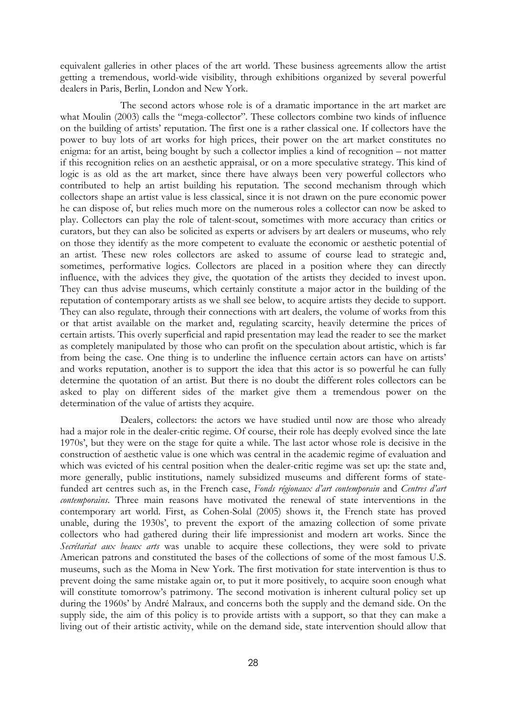equivalent galleries in other places of the art world. These business agreements allow the artist getting a tremendous, world-wide visibility, through exhibitions organized by several powerful dealers in Paris, Berlin, London and New York.

The second actors whose role is of a dramatic importance in the art market are what Moulin (2003) calls the "mega-collector". These collectors combine two kinds of influence on the building of artists' reputation. The first one is a rather classical one. If collectors have the power to buy lots of art works for high prices, their power on the art market constitutes no enigma: for an artist, being bought by such a collector implies a kind of recognition – not matter if this recognition relies on an aesthetic appraisal, or on a more speculative strategy. This kind of logic is as old as the art market, since there have always been very powerful collectors who contributed to help an artist building his reputation. The second mechanism through which collectors shape an artist value is less classical, since it is not drawn on the pure economic power he can dispose of, but relies much more on the numerous roles a collector can now be asked to play. Collectors can play the role of talent-scout, sometimes with more accuracy than critics or curators, but they can also be solicited as experts or advisers by art dealers or museums, who rely on those they identify as the more competent to evaluate the economic or aesthetic potential of an artist. These new roles collectors are asked to assume of course lead to strategic and, sometimes, performative logics. Collectors are placed in a position where they can directly influence, with the advices they give, the quotation of the artists they decided to invest upon. They can thus advise museums, which certainly constitute a major actor in the building of the reputation of contemporary artists as we shall see below, to acquire artists they decide to support. They can also regulate, through their connections with art dealers, the volume of works from this or that artist available on the market and, regulating scarcity, heavily determine the prices of certain artists. This overly superficial and rapid presentation may lead the reader to see the market as completely manipulated by those who can profit on the speculation about artistic, which is far from being the case. One thing is to underline the influence certain actors can have on artists' and works reputation, another is to support the idea that this actor is so powerful he can fully determine the quotation of an artist. But there is no doubt the different roles collectors can be asked to play on different sides of the market give them a tremendous power on the determination of the value of artists they acquire.

Dealers, collectors: the actors we have studied until now are those who already had a major role in the dealer-critic regime. Of course, their role has deeply evolved since the late 1970s', but they were on the stage for quite a while. The last actor whose role is decisive in the construction of aesthetic value is one which was central in the academic regime of evaluation and which was evicted of his central position when the dealer-critic regime was set up: the state and, more generally, public institutions, namely subsidized museums and different forms of statefunded art centres such as, in the French case, Fonds régionaux d'art contemporain and Centres d'art contemporains. Three main reasons have motivated the renewal of state interventions in the contemporary art world. First, as Cohen-Solal (2005) shows it, the French state has proved unable, during the 1930s', to prevent the export of the amazing collection of some private collectors who had gathered during their life impressionist and modern art works. Since the Secrétariat aux beaux arts was unable to acquire these collections, they were sold to private American patrons and constituted the bases of the collections of some of the most famous U.S. museums, such as the Moma in New York. The first motivation for state intervention is thus to prevent doing the same mistake again or, to put it more positively, to acquire soon enough what will constitute tomorrow's patrimony. The second motivation is inherent cultural policy set up during the 1960s' by André Malraux, and concerns both the supply and the demand side. On the supply side, the aim of this policy is to provide artists with a support, so that they can make a living out of their artistic activity, while on the demand side, state intervention should allow that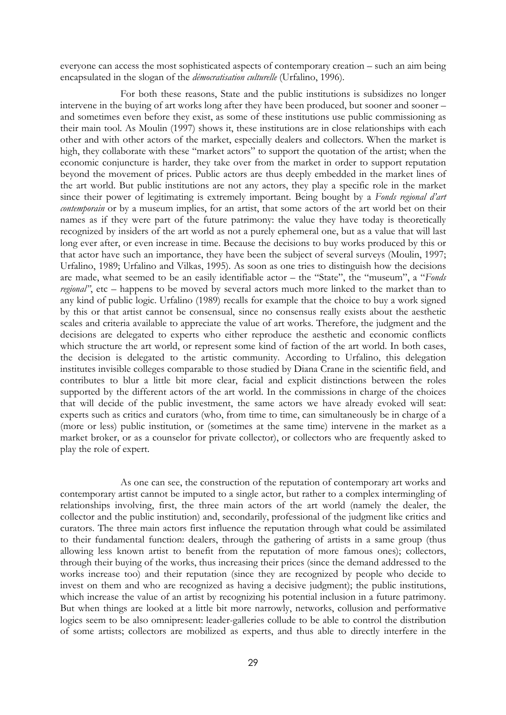everyone can access the most sophisticated aspects of contemporary creation – such an aim being encapsulated in the slogan of the *démocratisation culturelle* (Urfalino, 1996).

For both these reasons, State and the public institutions is subsidizes no longer intervene in the buying of art works long after they have been produced, but sooner and sooner – and sometimes even before they exist, as some of these institutions use public commissioning as their main tool. As Moulin (1997) shows it, these institutions are in close relationships with each other and with other actors of the market, especially dealers and collectors. When the market is high, they collaborate with these "market actors" to support the quotation of the artist; when the economic conjuncture is harder, they take over from the market in order to support reputation beyond the movement of prices. Public actors are thus deeply embedded in the market lines of the art world. But public institutions are not any actors, they play a specific role in the market since their power of legitimating is extremely important. Being bought by a Fonds regional d'art contemporain or by a museum implies, for an artist, that some actors of the art world bet on their names as if they were part of the future patrimony: the value they have today is theoretically recognized by insiders of the art world as not a purely ephemeral one, but as a value that will last long ever after, or even increase in time. Because the decisions to buy works produced by this or that actor have such an importance, they have been the subject of several surveys (Moulin, 1997; Urfalino, 1989; Urfalino and Vilkas, 1995). As soon as one tries to distinguish how the decisions are made, what seemed to be an easily identifiable actor – the "State", the "museum", a "Fonds regional", etc – happens to be moved by several actors much more linked to the market than to any kind of public logic. Urfalino (1989) recalls for example that the choice to buy a work signed by this or that artist cannot be consensual, since no consensus really exists about the aesthetic scales and criteria available to appreciate the value of art works. Therefore, the judgment and the decisions are delegated to experts who either reproduce the aesthetic and economic conflicts which structure the art world, or represent some kind of faction of the art world. In both cases, the decision is delegated to the artistic community. According to Urfalino, this delegation institutes invisible colleges comparable to those studied by Diana Crane in the scientific field, and contributes to blur a little bit more clear, facial and explicit distinctions between the roles supported by the different actors of the art world. In the commissions in charge of the choices that will decide of the public investment, the same actors we have already evoked will seat: experts such as critics and curators (who, from time to time, can simultaneously be in charge of a (more or less) public institution, or (sometimes at the same time) intervene in the market as a market broker, or as a counselor for private collector), or collectors who are frequently asked to play the role of expert.

As one can see, the construction of the reputation of contemporary art works and contemporary artist cannot be imputed to a single actor, but rather to a complex intermingling of relationships involving, first, the three main actors of the art world (namely the dealer, the collector and the public institution) and, secondarily, professional of the judgment like critics and curators. The three main actors first influence the reputation through what could be assimilated to their fundamental function: dealers, through the gathering of artists in a same group (thus allowing less known artist to benefit from the reputation of more famous ones); collectors, through their buying of the works, thus increasing their prices (since the demand addressed to the works increase too) and their reputation (since they are recognized by people who decide to invest on them and who are recognized as having a decisive judgment); the public institutions, which increase the value of an artist by recognizing his potential inclusion in a future patrimony. But when things are looked at a little bit more narrowly, networks, collusion and performative logics seem to be also omnipresent: leader-galleries collude to be able to control the distribution of some artists; collectors are mobilized as experts, and thus able to directly interfere in the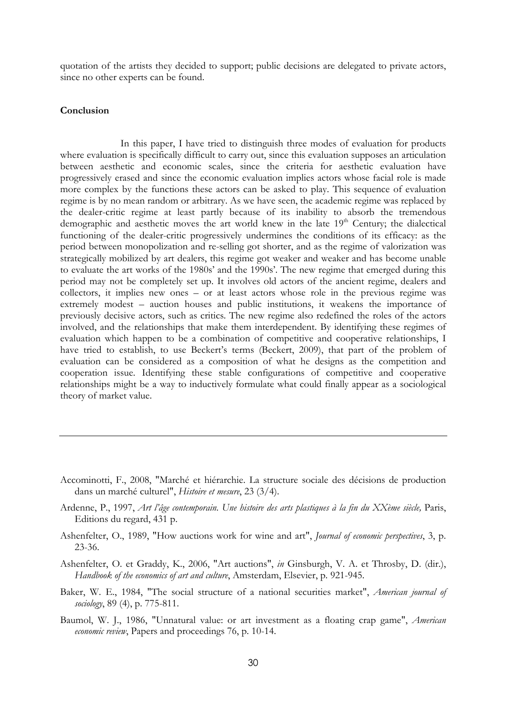quotation of the artists they decided to support; public decisions are delegated to private actors, since no other experts can be found.

# Conclusion

In this paper, I have tried to distinguish three modes of evaluation for products where evaluation is specifically difficult to carry out, since this evaluation supposes an articulation between aesthetic and economic scales, since the criteria for aesthetic evaluation have progressively erased and since the economic evaluation implies actors whose facial role is made more complex by the functions these actors can be asked to play. This sequence of evaluation regime is by no mean random or arbitrary. As we have seen, the academic regime was replaced by the dealer-critic regime at least partly because of its inability to absorb the tremendous demographic and aesthetic moves the art world knew in the late 19<sup>th</sup> Century; the dialectical functioning of the dealer-critic progressively undermines the conditions of its efficacy: as the period between monopolization and re-selling got shorter, and as the regime of valorization was strategically mobilized by art dealers, this regime got weaker and weaker and has become unable to evaluate the art works of the 1980s' and the 1990s'. The new regime that emerged during this period may not be completely set up. It involves old actors of the ancient regime, dealers and collectors, it implies new ones – or at least actors whose role in the previous regime was extremely modest – auction houses and public institutions, it weakens the importance of previously decisive actors, such as critics. The new regime also redefined the roles of the actors involved, and the relationships that make them interdependent. By identifying these regimes of evaluation which happen to be a combination of competitive and cooperative relationships, I have tried to establish, to use Beckert's terms (Beckert, 2009), that part of the problem of evaluation can be considered as a composition of what he designs as the competition and cooperation issue. Identifying these stable configurations of competitive and cooperative relationships might be a way to inductively formulate what could finally appear as a sociological theory of market value.

- Accominotti, F., 2008, "Marché et hiérarchie. La structure sociale des décisions de production dans un marché culturel", Histoire et mesure, 23 (3/4).
- Ardenne, P., 1997, Art l'âge contemporain. Une histoire des arts plastiques à la fin du XXème siècle, Paris, Editions du regard, 431 p.
- Ashenfelter, O., 1989, "How auctions work for wine and art", *Journal of economic perspectives*, 3, p. 23-36.
- Ashenfelter, O. et Graddy, K., 2006, "Art auctions", in Ginsburgh, V. A. et Throsby, D. (dir.), Handbook of the economics of art and culture, Amsterdam, Elsevier, p. 921-945.
- Baker, W. E., 1984, "The social structure of a national securities market", American journal of sociology, 89 (4), p. 775-811.
- Baumol, W. J., 1986, "Unnatural value: or art investment as a floating crap game", American economic review, Papers and proceedings 76, p. 10-14.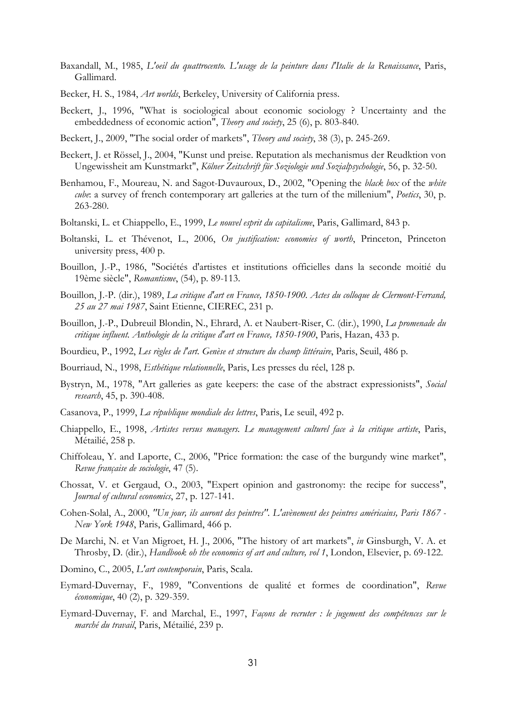- Baxandall, M., 1985, L'oeil du quattrocento. L'usage de la peinture dans l'Italie de la Renaissance, Paris, Gallimard.
- Becker, H. S., 1984, Art worlds, Berkeley, University of California press.
- Beckert, J., 1996, "What is sociological about economic sociology ? Uncertainty and the embeddedness of economic action", *Theory and society*, 25 (6), p. 803-840.
- Beckert, J., 2009, "The social order of markets", Theory and society, 38 (3), p. 245-269.
- Beckert, J. et Rössel, J., 2004, "Kunst und preise. Reputation als mechanismus der Reudktion von Ungewissheit am Kunstmarkt", Kölner Zeitschrift für Soziologie und Sozialpsychologie, 56, p. 32-50.
- Benhamou, F., Moureau, N. and Sagot-Duvauroux, D., 2002, "Opening the *black box* of the *white* cube: a survey of french contemporary art galleries at the turn of the millenium", Poetics, 30, p. 263-280.
- Boltanski, L. et Chiappello, E., 1999, Le nouvel esprit du capitalisme, Paris, Gallimard, 843 p.
- Boltanski, L. et Thévenot, L., 2006, On justification: economies of worth, Princeton, Princeton university press, 400 p.
- Bouillon, J.-P., 1986, "Sociétés d'artistes et institutions officielles dans la seconde moitié du 19ème siècle", Romantisme, (54), p. 89-113.
- Bouillon, J.-P. (dir.), 1989, La critique d'art en France, 1850-1900. Actes du colloque de Clermont-Ferrand, 25 au 27 mai 1987, Saint Etienne, CIEREC, 231 p.
- Bouillon, J.-P., Dubreuil Blondin, N., Ehrard, A. et Naubert-Riser, C. (dir.), 1990, La promenade du critique influent. Anthologie de la critique d'art en France, 1850-1900, Paris, Hazan, 433 p.
- Bourdieu, P., 1992, Les règles de l'art. Genèse et structure du champ littéraire, Paris, Seuil, 486 p.
- Bourriaud, N., 1998, Esthétique relationnelle, Paris, Les presses du réel, 128 p.
- Bystryn, M., 1978, "Art galleries as gate keepers: the case of the abstract expressionists", Social research, 45, p. 390-408.
- Casanova, P., 1999, La république mondiale des lettres, Paris, Le seuil, 492 p.
- Chiappello, E., 1998, Artistes versus managers. Le management culturel face à la critique artiste, Paris, Métailié, 258 p.
- Chiffoleau, Y. and Laporte, C., 2006, "Price formation: the case of the burgundy wine market", Revue française de sociologie, 47 (5).
- Chossat, V. et Gergaud, O., 2003, "Expert opinion and gastronomy: the recipe for success", Journal of cultural economics, 27, p. 127-141.
- Cohen-Solal, A., 2000, "Un jour, ils auront des peintres". L'avènement des peintres américains, Paris 1867 New York 1948, Paris, Gallimard, 466 p.
- De Marchi, N. et Van Migroet, H. J., 2006, "The history of art markets", in Ginsburgh, V. A. et Throsby, D. (dir.), Handbook oh the economics of art and culture, vol 1, London, Elsevier, p. 69-122.
- Domino, C., 2005, L'art contemporain, Paris, Scala.
- Eymard-Duvernay, F., 1989, "Conventions de qualité et formes de coordination", Revue économique, 40 (2), p. 329-359.
- Eymard-Duvernay, F. and Marchal, E., 1997, Façons de recruter : le jugement des compétences sur le marché du travail, Paris, Métailié, 239 p.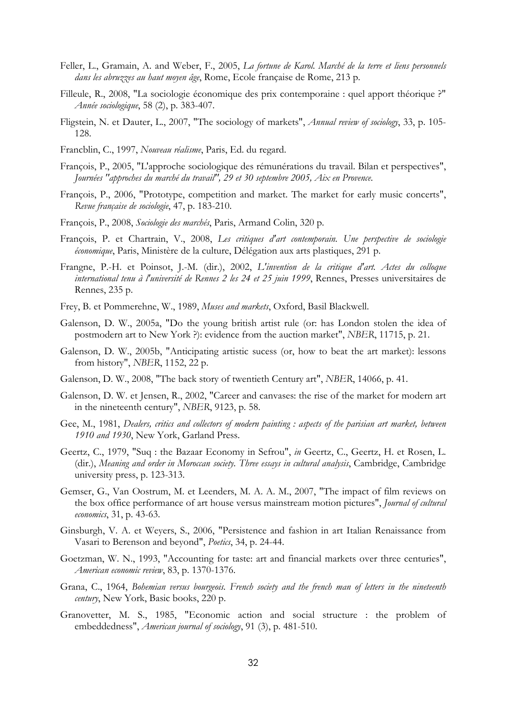- Feller, L., Gramain, A. and Weber, F., 2005, La fortune de Karol. Marché de la terre et liens personnels dans les abruzzes au haut moyen âge, Rome, Ecole française de Rome, 213 p.
- Filleule, R., 2008, "La sociologie économique des prix contemporaine : quel apport théorique ?" Année sociologique, 58 (2), p. 383-407.
- Fligstein, N. et Dauter, L., 2007, "The sociology of markets", Annual review of sociology, 33, p. 105-128.
- Francblin, C., 1997, Nouveau réalisme, Paris, Ed. du regard.
- François, P., 2005, "L'approche sociologique des rémunérations du travail. Bilan et perspectives", Journées "approches du marché du travail", 29 et 30 septembre 2005, Aix en Provence.
- François, P., 2006, "Prototype, competition and market. The market for early music concerts", Revue française de sociologie, 47, p. 183-210.
- François, P., 2008, Sociologie des marchés, Paris, Armand Colin, 320 p.
- François, P. et Chartrain, V., 2008, Les critiques d'art contemporain. Une perspective de sociologie économique, Paris, Ministère de la culture, Délégation aux arts plastiques, 291 p.
- Frangne, P.-H. et Poinsot, J.-M. (dir.), 2002, L'invention de la critique d'art. Actes du colloque international tenu à l'université de Rennes 2 les 24 et 25 juin 1999, Rennes, Presses universitaires de Rennes, 235 p.
- Frey, B. et Pommerehne, W., 1989, Muses and markets, Oxford, Basil Blackwell.
- Galenson, D. W., 2005a, "Do the young british artist rule (or: has London stolen the idea of postmodern art to New York ?): evidence from the auction market", NBER, 11715, p. 21.
- Galenson, D. W., 2005b, "Anticipating artistic sucess (or, how to beat the art market): lessons from history", NBER, 1152, 22 p.
- Galenson, D. W., 2008, "The back story of twentieth Century art", NBER, 14066, p. 41.
- Galenson, D. W. et Jensen, R., 2002, "Career and canvases: the rise of the market for modern art in the nineteenth century", NBER, 9123, p. 58.
- Gee, M., 1981, Dealers, critics and collectors of modern painting : aspects of the parisian art market, between 1910 and 1930, New York, Garland Press.
- Geertz, C., 1979, "Suq : the Bazaar Economy in Sefrou", in Geertz, C., Geertz, H. et Rosen, L. (dir.), Meaning and order in Moroccan society. Three essays in cultural analysis, Cambridge, Cambridge university press, p. 123-313.
- Gemser, G., Van Oostrum, M. et Leenders, M. A. A. M., 2007, "The impact of film reviews on the box office performance of art house versus mainstream motion pictures", Journal of cultural economics, 31, p. 43-63.
- Ginsburgh, V. A. et Weyers, S., 2006, "Persistence and fashion in art Italian Renaissance from Vasari to Berenson and beyond", Poetics, 34, p. 24-44.
- Goetzman, W. N., 1993, "Accounting for taste: art and financial markets over three centuries", American economic review, 83, p. 1370-1376.
- Grana, C., 1964, Bohemian versus bourgeois. French society and the french man of letters in the nineteenth century, New York, Basic books, 220 p.
- Granovetter, M. S., 1985, "Economic action and social structure : the problem of embeddedness", *American journal of sociology*, 91 (3), p. 481-510.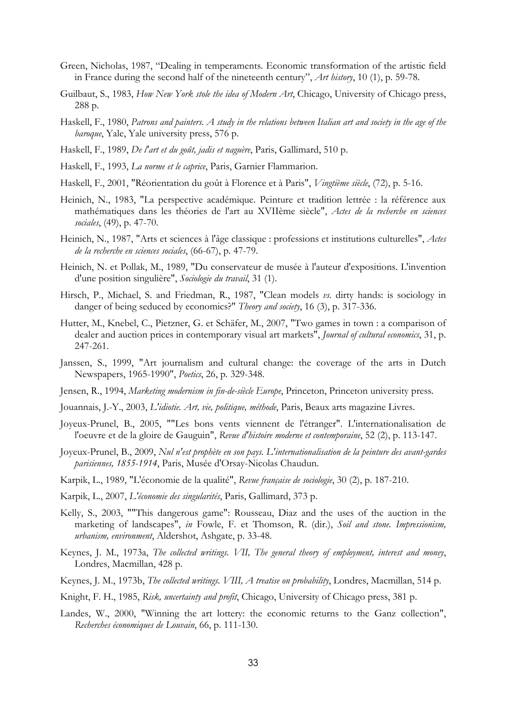- Green, Nicholas, 1987, "Dealing in temperaments. Economic transformation of the artistic field in France during the second half of the nineteenth century", Art history, 10 (1), p. 59-78.
- Guilbaut, S., 1983, How New York stole the idea of Modern Art, Chicago, University of Chicago press, 288 p.
- Haskell, F., 1980, Patrons and painters. A study in the relations between Italian art and society in the age of the baroque, Yale, Yale university press, 576 p.
- Haskell, F., 1989, De l'art et du goût, jadis et naguère, Paris, Gallimard, 510 p.
- Haskell, F., 1993, La norme et le caprice, Paris, Garnier Flammarion.
- Haskell, F., 2001, "Réorientation du goût à Florence et à Paris", *Vingtième siècle*, (72), p. 5-16.
- Heinich, N., 1983, "La perspective académique. Peinture et tradition lettrée : la référence aux mathématiques dans les théories de l'art au XVIIème siècle", Actes de la recherche en sciences sociales, (49), p. 47-70.
- Heinich, N., 1987, "Arts et sciences à l'âge classique : professions et institutions culturelles", Actes de la recherche en sciences sociales, (66-67), p. 47-79.
- Heinich, N. et Pollak, M., 1989, "Du conservateur de musée à l'auteur d'expositions. L'invention d'une position singulière", Sociologie du travail, 31 (1).
- Hirsch, P., Michael, S. and Friedman, R., 1987, "Clean models vs. dirty hands: is sociology in danger of being seduced by economics?" Theory and society, 16 (3), p. 317-336.
- Hutter, M., Knebel, C., Pietzner, G. et Schäfer, M., 2007, "Two games in town : a comparison of dealer and auction prices in contemporary visual art markets", Journal of cultural economics, 31, p. 247-261.
- Janssen, S., 1999, "Art journalism and cultural change: the coverage of the arts in Dutch Newspapers, 1965-1990", Poetics, 26, p. 329-348.
- Jensen, R., 1994, Marketing modernism in fin-de-siècle Europe, Princeton, Princeton university press.
- Jouannais, J.-Y., 2003, L'idiotie. Art, vie, politique, méthode, Paris, Beaux arts magazine Livres.
- Joyeux-Prunel, B., 2005, ""Les bons vents viennent de l'étranger". L'internationalisation de l'oeuvre et de la gloire de Gauguin", Revue d'histoire moderne et contemporaine, 52 (2), p. 113-147.
- Joyeux-Prunel, B., 2009, Nul n'est prophète en son pays. L'internationalisation de la peinture des avant-gardes parisiennes, 1855-1914, Paris, Musée d'Orsay-Nicolas Chaudun.
- Karpik, L., 1989, "L'économie de la qualité", Revue française de sociologie, 30 (2), p. 187-210.
- Karpik, L., 2007, L'économie des singularités, Paris, Gallimard, 373 p.
- Kelly, S., 2003, ""This dangerous game": Rousseau, Diaz and the uses of the auction in the marketing of landscapes", in Fowle, F. et Thomson, R. (dir.), Soil and stone. Impressionism, urbanism, environment, Aldershot, Ashgate, p. 33-48.
- Keynes, J. M., 1973a, The collected writings. VII, The general theory of employment, interest and money, Londres, Macmillan, 428 p.
- Keynes, J. M., 1973b, The collected writings. VIII, A treatise on probability, Londres, Macmillan, 514 p.
- Knight, F. H., 1985, Risk, uncertainty and profit, Chicago, University of Chicago press, 381 p.
- Landes, W., 2000, "Winning the art lottery: the economic returns to the Ganz collection", Recherches économiques de Louvain, 66, p. 111-130.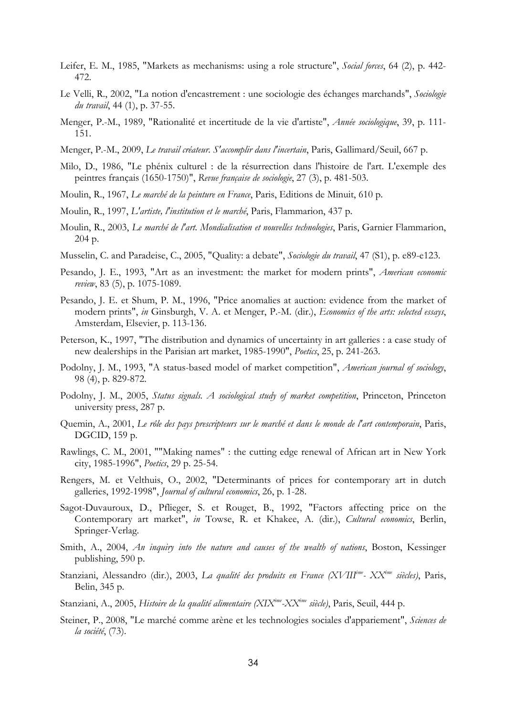- Leifer, E. M., 1985, "Markets as mechanisms: using a role structure", Social forces, 64 (2), p. 442-472.
- Le Velli, R., 2002, "La notion d'encastrement : une sociologie des échanges marchands", Sociologie du travail, 44 (1), p. 37-55.
- Menger, P.-M., 1989, "Rationalité et incertitude de la vie d'artiste", Année sociologique, 39, p. 111- 151.
- Menger, P.-M., 2009, Le travail créateur. S'accomplir dans l'incertain, Paris, Gallimard/Seuil, 667 p.
- Milo, D., 1986, "Le phénix culturel : de la résurrection dans l'histoire de l'art. L'exemple des peintres français (1650-1750)", Revue française de sociologie, 27 (3), p. 481-503.
- Moulin, R., 1967, Le marché de la peinture en France, Paris, Editions de Minuit, 610 p.
- Moulin, R., 1997, L'artiste, l'institution et le marché, Paris, Flammarion, 437 p.
- Moulin, R., 2003, Le marché de l'art. Mondialisation et nouvelles technologies, Paris, Garnier Flammarion, 204 p.
- Musselin, C. and Paradeise, C., 2005, "Quality: a debate", Sociologie du travail, 47 (S1), p. e89-e123.
- Pesando, J. E., 1993, "Art as an investment: the market for modern prints", American economic review, 83 (5), p. 1075-1089.
- Pesando, J. E. et Shum, P. M., 1996, "Price anomalies at auction: evidence from the market of modern prints", in Ginsburgh, V. A. et Menger, P.-M. (dir.), Economics of the arts: selected essays, Amsterdam, Elsevier, p. 113-136.
- Peterson, K., 1997, "The distribution and dynamics of uncertainty in art galleries : a case study of new dealerships in the Parisian art market, 1985-1990", Poetics, 25, p. 241-263.
- Podolny, J. M., 1993, "A status-based model of market competition", *American journal of sociology*, 98 (4), p. 829-872.
- Podolny, J. M., 2005, Status signals. A sociological study of market competition, Princeton, Princeton university press, 287 p.
- Quemin, A., 2001, Le rôle des pays prescripteurs sur le marché et dans le monde de l'art contemporain, Paris, DGCID, 159 p.
- Rawlings, C. M., 2001, ""Making names" : the cutting edge renewal of African art in New York city, 1985-1996", Poetics, 29 p. 25-54.
- Rengers, M. et Velthuis, O., 2002, "Determinants of prices for contemporary art in dutch galleries, 1992-1998", Journal of cultural economics, 26, p. 1-28.
- Sagot-Duvauroux, D., Pflieger, S. et Rouget, B., 1992, "Factors affecting price on the Contemporary art market", in Towse, R. et Khakee, A. (dir.), Cultural economics, Berlin, Springer-Verlag.
- Smith, A., 2004, An inquiry into the nature and causes of the wealth of nations, Boston, Kessinger publishing, 590 p.
- Stanziani, Alessandro (dir.), 2003, La qualité des produits en France (XVIII<sup>ème</sup>- XX<sup>ème</sup> siècles), Paris, Belin, 345 p.
- Stanziani, A., 2005, Histoire de la qualité alimentaire (XIX<sup>ème</sup>-XX<sup>ème</sup> siècle), Paris, Seuil, 444 p.
- Steiner, P., 2008, "Le marché comme arène et les technologies sociales d'appariement", Sciences de la société, (73).